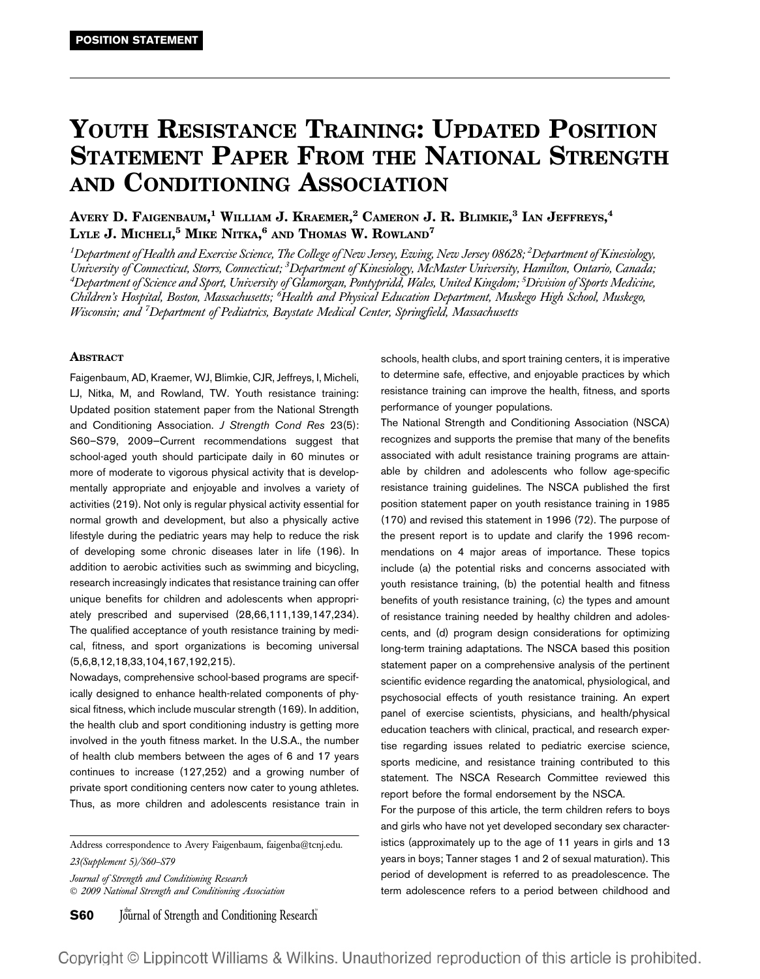# YOUTH RESISTANCE TRAINING: UPDATED POSITION STATEMENT PAPER FROM THE NATIONAL STRENGTH AND CONDITIONING ASSOCIATION

Avery D. Faigenbaum, $^1$  William J. Kraemer, $^2$  Cameron J. R. Blimkie, $^3$  Ian Jeffreys, $^4$ Lyle J. Micheli,<sup>5</sup> Mike Nitka,<sup>6</sup> and Thomas W. Rowland<sup>7</sup>

 $^{\rm 1}$ Department of Health and Exercise Science, The College of New Jersey, Ewing, New Jersey 08628;  $^{\rm 2}$ Department of Kinesiology, University of Connecticut, Storrs, Connecticut; <sup>3</sup>Department of Kinesiology, McMaster University, Hamilton, Ontario, Canada, <sup>4</sup>Department of Science and Sport, University of Glamorgan, Pontypridd, Wales, United Kingdom; <sup>5</sup>Division of Sports Medicine, Children's Hospital, Boston, Massachusetts; <sup>6</sup>Health and Physical Education Department, Muskego High School, Muskego, Wisconsin; and <sup>7</sup>Department of Pediatrics, Baystate Medical Center, Springfield, Massachusetts

#### **ABSTRACT**

Faigenbaum, AD, Kraemer, WJ, Blimkie, CJR, Jeffreys, I, Micheli, LJ, Nitka, M, and Rowland, TW. Youth resistance training: Updated position statement paper from the National Strength and Conditioning Association. J Strength Cond Res 23(5): S60–S79, 2009—Current recommendations suggest that school-aged youth should participate daily in 60 minutes or more of moderate to vigorous physical activity that is developmentally appropriate and enjoyable and involves a variety of activities (219). Not only is regular physical activity essential for normal growth and development, but also a physically active lifestyle during the pediatric years may help to reduce the risk of developing some chronic diseases later in life (196). In addition to aerobic activities such as swimming and bicycling, research increasingly indicates that resistance training can offer unique benefits for children and adolescents when appropriately prescribed and supervised (28,66,111,139,147,234). The qualified acceptance of youth resistance training by medical, fitness, and sport organizations is becoming universal (5,6,8,12,18,33,104,167,192,215).

Nowadays, comprehensive school-based programs are specifically designed to enhance health-related components of physical fitness, which include muscular strength (169). In addition, the health club and sport conditioning industry is getting more involved in the youth fitness market. In the U.S.A., the number of health club members between the ages of 6 and 17 years continues to increase (127,252) and a growing number of private sport conditioning centers now cater to young athletes. Thus, as more children and adolescents resistance train in

Address correspondence to Avery Faigenbaum, faigenba@tcnj.edu. 23(Supplement 5)/S60–S79

Journal of Strength and Conditioning Research 2009 National Strength and Conditioning Association

**S60** Journal of Strength and Conditioning Research

schools, health clubs, and sport training centers, it is imperative to determine safe, effective, and enjoyable practices by which resistance training can improve the health, fitness, and sports performance of younger populations.

The National Strength and Conditioning Association (NSCA) recognizes and supports the premise that many of the benefits associated with adult resistance training programs are attainable by children and adolescents who follow age-specific resistance training guidelines. The NSCA published the first position statement paper on youth resistance training in 1985 (170) and revised this statement in 1996 (72). The purpose of the present report is to update and clarify the 1996 recommendations on 4 major areas of importance. These topics include (a) the potential risks and concerns associated with youth resistance training, (b) the potential health and fitness benefits of youth resistance training, (c) the types and amount of resistance training needed by healthy children and adolescents, and (d) program design considerations for optimizing long-term training adaptations. The NSCA based this position statement paper on a comprehensive analysis of the pertinent scientific evidence regarding the anatomical, physiological, and psychosocial effects of youth resistance training. An expert panel of exercise scientists, physicians, and health/physical education teachers with clinical, practical, and research expertise regarding issues related to pediatric exercise science, sports medicine, and resistance training contributed to this statement. The NSCA Research Committee reviewed this report before the formal endorsement by the NSCA.

For the purpose of this article, the term children refers to boys and girls who have not yet developed secondary sex characteristics (approximately up to the age of 11 years in girls and 13 years in boys; Tanner stages 1 and 2 of sexual maturation). This period of development is referred to as preadolescence. The term adolescence refers to a period between childhood and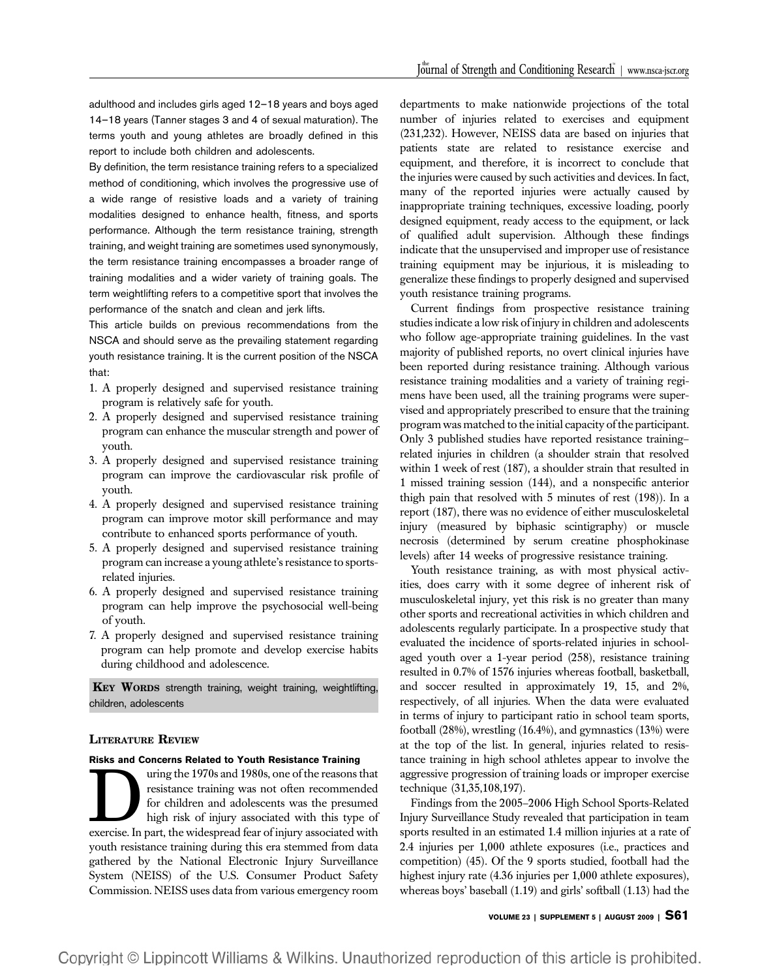adulthood and includes girls aged 12–18 years and boys aged 14–18 years (Tanner stages 3 and 4 of sexual maturation). The terms youth and young athletes are broadly defined in this report to include both children and adolescents.

By definition, the term resistance training refers to a specialized method of conditioning, which involves the progressive use of a wide range of resistive loads and a variety of training modalities designed to enhance health, fitness, and sports performance. Although the term resistance training, strength training, and weight training are sometimes used synonymously, the term resistance training encompasses a broader range of training modalities and a wider variety of training goals. The term weightlifting refers to a competitive sport that involves the performance of the snatch and clean and jerk lifts.

This article builds on previous recommendations from the NSCA and should serve as the prevailing statement regarding youth resistance training. It is the current position of the NSCA that:

- 1. A properly designed and supervised resistance training program is relatively safe for youth.
- 2. A properly designed and supervised resistance training program can enhance the muscular strength and power of youth.
- 3. A properly designed and supervised resistance training program can improve the cardiovascular risk profile of youth.
- 4. A properly designed and supervised resistance training program can improve motor skill performance and may contribute to enhanced sports performance of youth.
- 5. A properly designed and supervised resistance training program can increase a young athlete's resistance to sportsrelated injuries.
- 6. A properly designed and supervised resistance training program can help improve the psychosocial well-being of youth.
- 7. A properly designed and supervised resistance training program can help promote and develop exercise habits during childhood and adolescence.

KEY WORDS strength training, weight training, weightlifting, children, adolescents

#### LITERATURE REVIEW

#### Risks and Concerns Related to Youth Resistance Training

The 1970s and 1980s, one of the reasons that resistance training was not often recommended for children and adolescents was the presumed high risk of injury associated with this type of exercise. In part, the widespread fe resistance training was not often recommended for children and adolescents was the presumed high risk of injury associated with this type of youth resistance training during this era stemmed from data gathered by the National Electronic Injury Surveillance System (NEISS) of the U.S. Consumer Product Safety Commission. NEISS uses data from various emergency room departments to make nationwide projections of the total number of injuries related to exercises and equipment (231,232). However, NEISS data are based on injuries that patients state are related to resistance exercise and equipment, and therefore, it is incorrect to conclude that the injuries were caused by such activities and devices. In fact, many of the reported injuries were actually caused by inappropriate training techniques, excessive loading, poorly designed equipment, ready access to the equipment, or lack of qualified adult supervision. Although these findings indicate that the unsupervised and improper use of resistance training equipment may be injurious, it is misleading to generalize these findings to properly designed and supervised youth resistance training programs.

Current findings from prospective resistance training studies indicate a low risk of injury in children and adolescents who follow age-appropriate training guidelines. In the vast majority of published reports, no overt clinical injuries have been reported during resistance training. Although various resistance training modalities and a variety of training regimens have been used, all the training programs were supervised and appropriately prescribed to ensure that the training program was matched to the initial capacity of the participant. Only 3 published studies have reported resistance training– related injuries in children (a shoulder strain that resolved within 1 week of rest (187), a shoulder strain that resulted in 1 missed training session (144), and a nonspecific anterior thigh pain that resolved with 5 minutes of rest (198)). In a report (187), there was no evidence of either musculoskeletal injury (measured by biphasic scintigraphy) or muscle necrosis (determined by serum creatine phosphokinase levels) after 14 weeks of progressive resistance training.

Youth resistance training, as with most physical activities, does carry with it some degree of inherent risk of musculoskeletal injury, yet this risk is no greater than many other sports and recreational activities in which children and adolescents regularly participate. In a prospective study that evaluated the incidence of sports-related injuries in schoolaged youth over a 1-year period (258), resistance training resulted in 0.7% of 1576 injuries whereas football, basketball, and soccer resulted in approximately 19, 15, and 2%, respectively, of all injuries. When the data were evaluated in terms of injury to participant ratio in school team sports, football (28%), wrestling (16.4%), and gymnastics (13%) were at the top of the list. In general, injuries related to resistance training in high school athletes appear to involve the aggressive progression of training loads or improper exercise technique (31,35,108,197).

Findings from the 2005–2006 High School Sports-Related Injury Surveillance Study revealed that participation in team sports resulted in an estimated 1.4 million injuries at a rate of 2.4 injuries per 1,000 athlete exposures (i.e., practices and competition) (45). Of the 9 sports studied, football had the highest injury rate (4.36 injuries per 1,000 athlete exposures), whereas boys' baseball (1.19) and girls' softball (1.13) had the

VOLUME 23 | SUPPLEMENT 5 | AUGUST 2009 | S61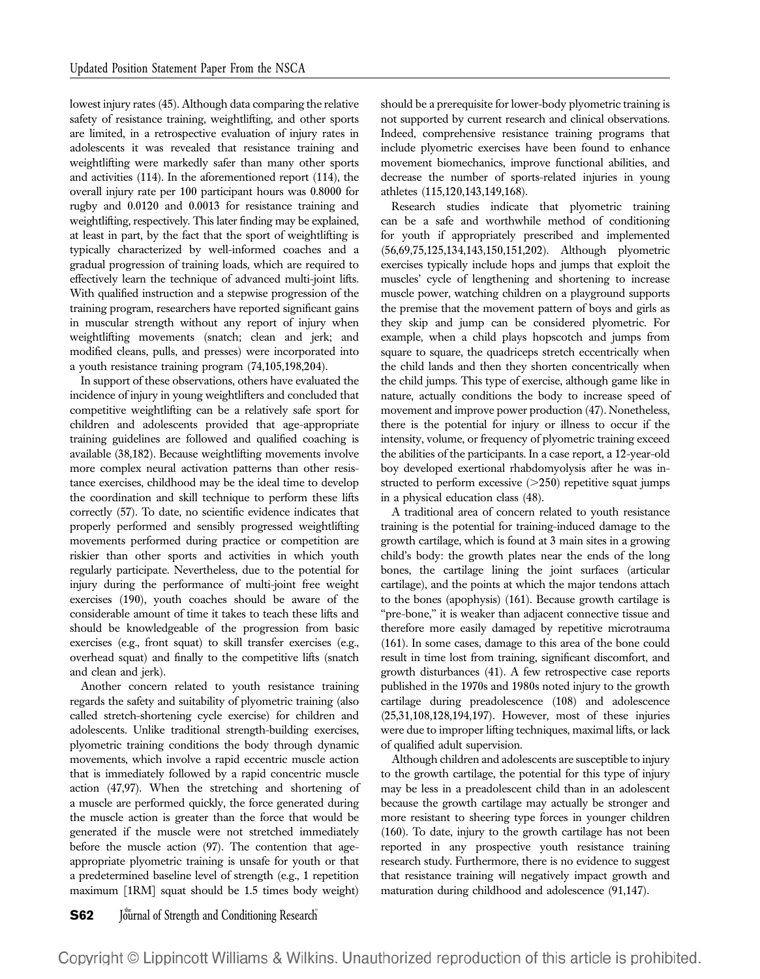lowest injury rates (45). Although data comparing the relative safety of resistance training, weightlifting, and other sports are limited, in a retrospective evaluation of injury rates in adolescents it was revealed that resistance training and weightlifting were markedly safer than many other sports and activities (114). In the aforementioned report (114), the overall injury rate per 100 participant hours was 0.8000 for rugby and 0.0120 and 0.0013 for resistance training and weightlifting, respectively. This later finding may be explained, at least in part, by the fact that the sport of weightlifting is typically characterized by well-informed coaches and a gradual progression of training loads, which are required to effectively learn the technique of advanced multi-joint lifts. With qualified instruction and a stepwise progression of the training program, researchers have reported significant gains in muscular strength without any report of injury when weightlifting movements (snatch; clean and jerk; and modified cleans, pulls, and presses) were incorporated into a youth resistance training program (74,105,198,204).

In support of these observations, others have evaluated the incidence of injury in young weightlifters and concluded that competitive weightlifting can be a relatively safe sport for children and adolescents provided that age-appropriate training guidelines are followed and qualified coaching is available (38,182). Because weightlifting movements involve more complex neural activation patterns than other resistance exercises, childhood may be the ideal time to develop the coordination and skill technique to perform these lifts correctly (57). To date, no scientific evidence indicates that properly performed and sensibly progressed weightlifting movements performed during practice or competition are riskier than other sports and activities in which youth regularly participate. Nevertheless, due to the potential for injury during the performance of multi-joint free weight exercises (190), youth coaches should be aware of the considerable amount of time it takes to teach these lifts and should be knowledgeable of the progression from basic exercises (e.g., front squat) to skill transfer exercises (e.g., overhead squat) and finally to the competitive lifts (snatch and clean and jerk).

Another concern related to youth resistance training regards the safety and suitability of plyometric training (also called stretch-shortening cycle exercise) for children and adolescents. Unlike traditional strength-building exercises, plyometric training conditions the body through dynamic movements, which involve a rapid eccentric muscle action that is immediately followed by a rapid concentric muscle action (47,97). When the stretching and shortening of a muscle are performed quickly, the force generated during the muscle action is greater than the force that would be generated if the muscle were not stretched immediately before the muscle action (97). The contention that ageappropriate plyometric training is unsafe for youth or that a predetermined baseline level of strength (e.g., 1 repetition maximum [1RM] squat should be 1.5 times body weight)

should be a prerequisite for lower-body plyometric training is not supported by current research and clinical observations. Indeed, comprehensive resistance training programs that include plyometric exercises have been found to enhance movement biomechanics, improve functional abilities, and decrease the number of sports-related injuries in young athletes (115,120,143,149,168).

Research studies indicate that plyometric training can be a safe and worthwhile method of conditioning for youth if appropriately prescribed and implemented (56,69,75,125,134,143,150,151,202). Although plyometric exercises typically include hops and jumps that exploit the muscles' cycle of lengthening and shortening to increase muscle power, watching children on a playground supports the premise that the movement pattern of boys and girls as they skip and jump can be considered plyometric. For example, when a child plays hopscotch and jumps from square to square, the quadriceps stretch eccentrically when the child lands and then they shorten concentrically when the child jumps. This type of exercise, although game like in nature, actually conditions the body to increase speed of movement and improve power production (47). Nonetheless, there is the potential for injury or illness to occur if the intensity, volume, or frequency of plyometric training exceed the abilities of the participants. In a case report, a 12-year-old boy developed exertional rhabdomyolysis after he was instructed to perform excessive  $(>=250)$  repetitive squat jumps in a physical education class (48).

A traditional area of concern related to youth resistance training is the potential for training-induced damage to the growth cartilage, which is found at 3 main sites in a growing child's body: the growth plates near the ends of the long bones, the cartilage lining the joint surfaces (articular cartilage), and the points at which the major tendons attach to the bones (apophysis) (161). Because growth cartilage is "pre-bone," it is weaker than adjacent connective tissue and therefore more easily damaged by repetitive microtrauma (161). In some cases, damage to this area of the bone could result in time lost from training, significant discomfort, and growth disturbances (41). A few retrospective case reports published in the 1970s and 1980s noted injury to the growth cartilage during preadolescence (108) and adolescence (25,31,108,128,194,197). However, most of these injuries were due to improper lifting techniques, maximal lifts, or lack of qualified adult supervision.

Although children and adolescents are susceptible to injury to the growth cartilage, the potential for this type of injury may be less in a preadolescent child than in an adolescent because the growth cartilage may actually be stronger and more resistant to sheering type forces in younger children (160). To date, injury to the growth cartilage has not been reported in any prospective youth resistance training research study. Furthermore, there is no evidence to suggest that resistance training will negatively impact growth and maturation during childhood and adolescence (91,147).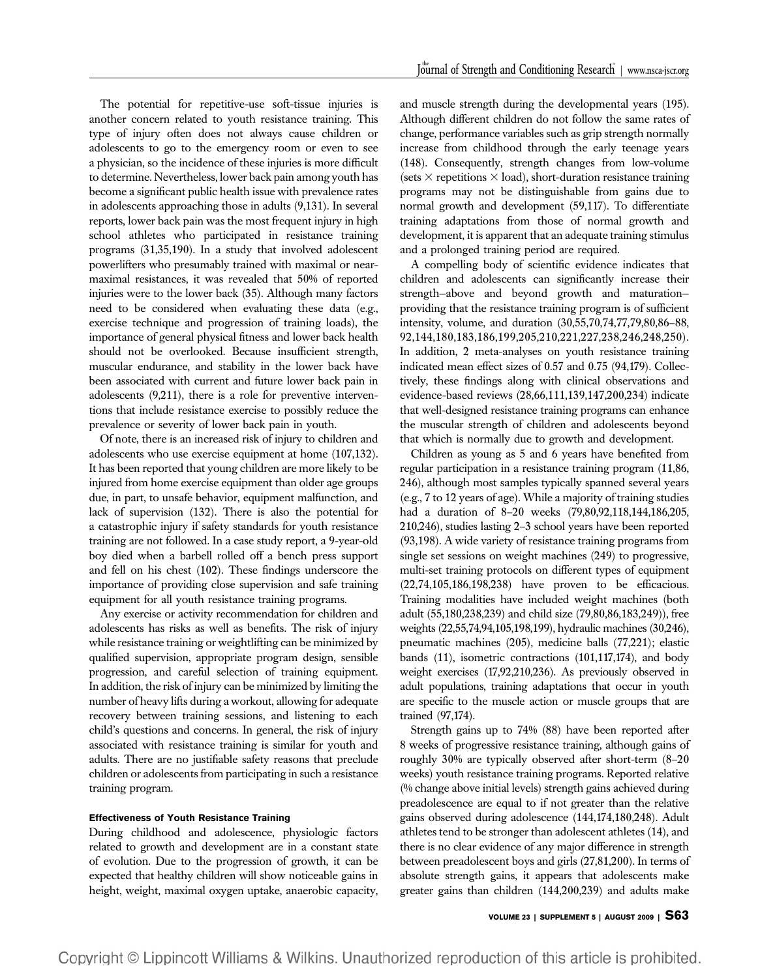The potential for repetitive-use soft-tissue injuries is another concern related to youth resistance training. This type of injury often does not always cause children or adolescents to go to the emergency room or even to see a physician, so the incidence of these injuries is more difficult to determine. Nevertheless, lower back pain among youth has become a significant public health issue with prevalence rates in adolescents approaching those in adults (9,131). In several reports, lower back pain was the most frequent injury in high school athletes who participated in resistance training programs (31,35,190). In a study that involved adolescent powerlifters who presumably trained with maximal or nearmaximal resistances, it was revealed that 50% of reported injuries were to the lower back (35). Although many factors need to be considered when evaluating these data (e.g., exercise technique and progression of training loads), the importance of general physical fitness and lower back health should not be overlooked. Because insufficient strength, muscular endurance, and stability in the lower back have been associated with current and future lower back pain in adolescents (9,211), there is a role for preventive interventions that include resistance exercise to possibly reduce the prevalence or severity of lower back pain in youth.

Of note, there is an increased risk of injury to children and adolescents who use exercise equipment at home (107,132). It has been reported that young children are more likely to be injured from home exercise equipment than older age groups due, in part, to unsafe behavior, equipment malfunction, and lack of supervision (132). There is also the potential for a catastrophic injury if safety standards for youth resistance training are not followed. In a case study report, a 9-year-old boy died when a barbell rolled off a bench press support and fell on his chest (102). These findings underscore the importance of providing close supervision and safe training equipment for all youth resistance training programs.

Any exercise or activity recommendation for children and adolescents has risks as well as benefits. The risk of injury while resistance training or weightlifting can be minimized by qualified supervision, appropriate program design, sensible progression, and careful selection of training equipment. In addition, the risk of injury can be minimized by limiting the number of heavy lifts during a workout, allowing for adequate recovery between training sessions, and listening to each child's questions and concerns. In general, the risk of injury associated with resistance training is similar for youth and adults. There are no justifiable safety reasons that preclude children or adolescents from participating in such a resistance training program.

#### Effectiveness of Youth Resistance Training

During childhood and adolescence, physiologic factors related to growth and development are in a constant state of evolution. Due to the progression of growth, it can be expected that healthy children will show noticeable gains in height, weight, maximal oxygen uptake, anaerobic capacity,

and muscle strength during the developmental years (195). Although different children do not follow the same rates of change, performance variables such as grip strength normally increase from childhood through the early teenage years (148). Consequently, strength changes from low-volume (sets  $\times$  repetitions  $\times$  load), short-duration resistance training programs may not be distinguishable from gains due to normal growth and development (59,117). To differentiate training adaptations from those of normal growth and development, it is apparent that an adequate training stimulus and a prolonged training period are required.

A compelling body of scientific evidence indicates that children and adolescents can significantly increase their strength—above and beyond growth and maturation providing that the resistance training program is of sufficient intensity, volume, and duration (30,55,70,74,77,79,80,86–88, 92,144,180,183,186,199,205,210,221,227,238,246,248,250). In addition, 2 meta-analyses on youth resistance training indicated mean effect sizes of 0.57 and 0.75 (94,179). Collectively, these findings along with clinical observations and evidence-based reviews (28,66,111,139,147,200,234) indicate that well-designed resistance training programs can enhance the muscular strength of children and adolescents beyond that which is normally due to growth and development.

Children as young as 5 and 6 years have benefited from regular participation in a resistance training program (11,86, 246), although most samples typically spanned several years (e.g., 7 to 12 years of age). While a majority of training studies had a duration of 8–20 weeks (79,80,92,118,144,186,205, 210,246), studies lasting 2–3 school years have been reported (93,198). A wide variety of resistance training programs from single set sessions on weight machines (249) to progressive, multi-set training protocols on different types of equipment (22,74,105,186,198,238) have proven to be efficacious. Training modalities have included weight machines (both adult (55,180,238,239) and child size (79,80,86,183,249)), free weights (22,55,74,94,105,198,199), hydraulic machines (30,246), pneumatic machines (205), medicine balls (77,221); elastic bands (11), isometric contractions (101,117,174), and body weight exercises (17,92,210,236). As previously observed in adult populations, training adaptations that occur in youth are specific to the muscle action or muscle groups that are trained (97,174).

Strength gains up to 74% (88) have been reported after 8 weeks of progressive resistance training, although gains of roughly 30% are typically observed after short-term (8–20 weeks) youth resistance training programs. Reported relative (% change above initial levels) strength gains achieved during preadolescence are equal to if not greater than the relative gains observed during adolescence (144,174,180,248). Adult athletes tend to be stronger than adolescent athletes (14), and there is no clear evidence of any major difference in strength between preadolescent boys and girls (27,81,200). In terms of absolute strength gains, it appears that adolescents make greater gains than children (144,200,239) and adults make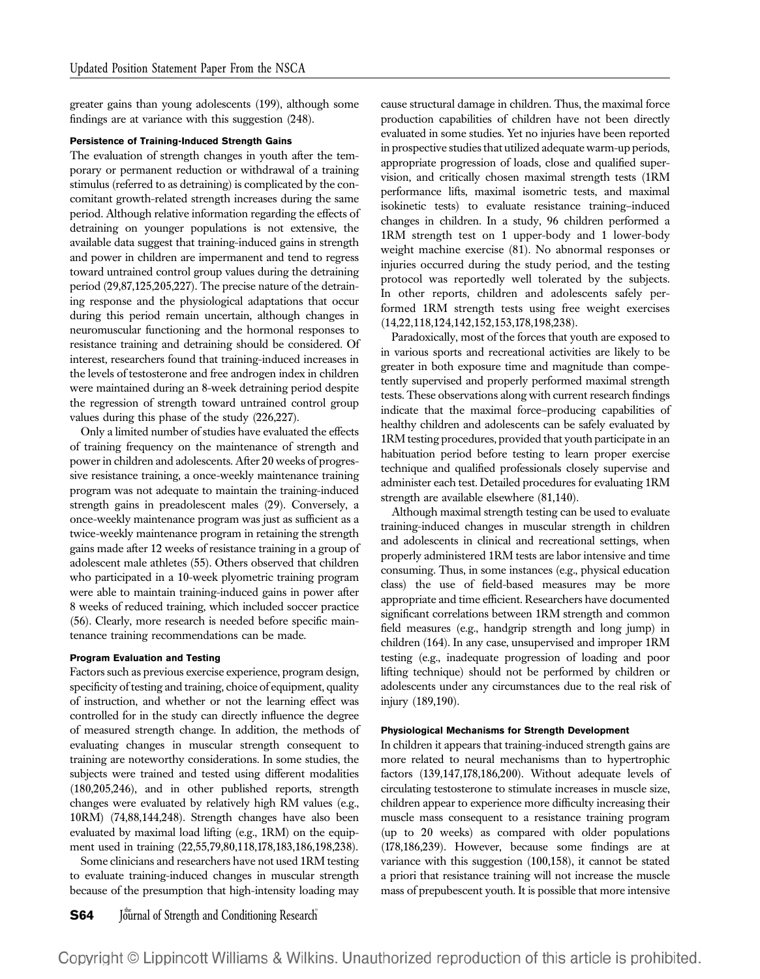greater gains than young adolescents (199), although some findings are at variance with this suggestion (248).

#### Persistence of Training-Induced Strength Gains

The evaluation of strength changes in youth after the temporary or permanent reduction or withdrawal of a training stimulus (referred to as detraining) is complicated by the concomitant growth-related strength increases during the same period. Although relative information regarding the effects of detraining on younger populations is not extensive, the available data suggest that training-induced gains in strength and power in children are impermanent and tend to regress toward untrained control group values during the detraining period (29,87,125,205,227). The precise nature of the detraining response and the physiological adaptations that occur during this period remain uncertain, although changes in neuromuscular functioning and the hormonal responses to resistance training and detraining should be considered. Of interest, researchers found that training-induced increases in the levels of testosterone and free androgen index in children were maintained during an 8-week detraining period despite the regression of strength toward untrained control group values during this phase of the study (226,227).

Only a limited number of studies have evaluated the effects of training frequency on the maintenance of strength and power in children and adolescents. After 20 weeks of progressive resistance training, a once-weekly maintenance training program was not adequate to maintain the training-induced strength gains in preadolescent males (29). Conversely, a once-weekly maintenance program was just as sufficient as a twice-weekly maintenance program in retaining the strength gains made after 12 weeks of resistance training in a group of adolescent male athletes (55). Others observed that children who participated in a 10-week plyometric training program were able to maintain training-induced gains in power after 8 weeks of reduced training, which included soccer practice (56). Clearly, more research is needed before specific maintenance training recommendations can be made.

#### Program Evaluation and Testing

Factors such as previous exercise experience, program design, specificity of testing and training, choice of equipment, quality of instruction, and whether or not the learning effect was controlled for in the study can directly influence the degree of measured strength change. In addition, the methods of evaluating changes in muscular strength consequent to training are noteworthy considerations. In some studies, the subjects were trained and tested using different modalities (180,205,246), and in other published reports, strength changes were evaluated by relatively high RM values (e.g., 10RM) (74,88,144,248). Strength changes have also been evaluated by maximal load lifting (e.g., 1RM) on the equipment used in training (22,55,79,80,118,178,183,186,198,238).

Some clinicians and researchers have not used 1RM testing to evaluate training-induced changes in muscular strength because of the presumption that high-intensity loading may

**S64** Journal of Strength and Conditioning Research

cause structural damage in children. Thus, the maximal force production capabilities of children have not been directly evaluated in some studies. Yet no injuries have been reported in prospective studies that utilized adequate warm-up periods, appropriate progression of loads, close and qualified supervision, and critically chosen maximal strength tests (1RM performance lifts, maximal isometric tests, and maximal isokinetic tests) to evaluate resistance training–induced changes in children. In a study, 96 children performed a 1RM strength test on 1 upper-body and 1 lower-body weight machine exercise (81). No abnormal responses or injuries occurred during the study period, and the testing protocol was reportedly well tolerated by the subjects. In other reports, children and adolescents safely performed 1RM strength tests using free weight exercises (14,22,118,124,142,152,153,178,198,238).

Paradoxically, most of the forces that youth are exposed to in various sports and recreational activities are likely to be greater in both exposure time and magnitude than competently supervised and properly performed maximal strength tests. These observations along with current research findings indicate that the maximal force–producing capabilities of healthy children and adolescents can be safely evaluated by 1RM testing procedures, provided that youth participate in an habituation period before testing to learn proper exercise technique and qualified professionals closely supervise and administer each test. Detailed procedures for evaluating 1RM strength are available elsewhere (81,140).

Although maximal strength testing can be used to evaluate training-induced changes in muscular strength in children and adolescents in clinical and recreational settings, when properly administered 1RM tests are labor intensive and time consuming. Thus, in some instances (e.g., physical education class) the use of field-based measures may be more appropriate and time efficient. Researchers have documented significant correlations between 1RM strength and common field measures (e.g., handgrip strength and long jump) in children (164). In any case, unsupervised and improper 1RM testing (e.g., inadequate progression of loading and poor lifting technique) should not be performed by children or adolescents under any circumstances due to the real risk of injury (189,190).

#### Physiological Mechanisms for Strength Development

In children it appears that training-induced strength gains are more related to neural mechanisms than to hypertrophic factors (139,147,178,186,200). Without adequate levels of circulating testosterone to stimulate increases in muscle size, children appear to experience more difficulty increasing their muscle mass consequent to a resistance training program (up to 20 weeks) as compared with older populations (178,186,239). However, because some findings are at variance with this suggestion (100,158), it cannot be stated a priori that resistance training will not increase the muscle mass of prepubescent youth. It is possible that more intensive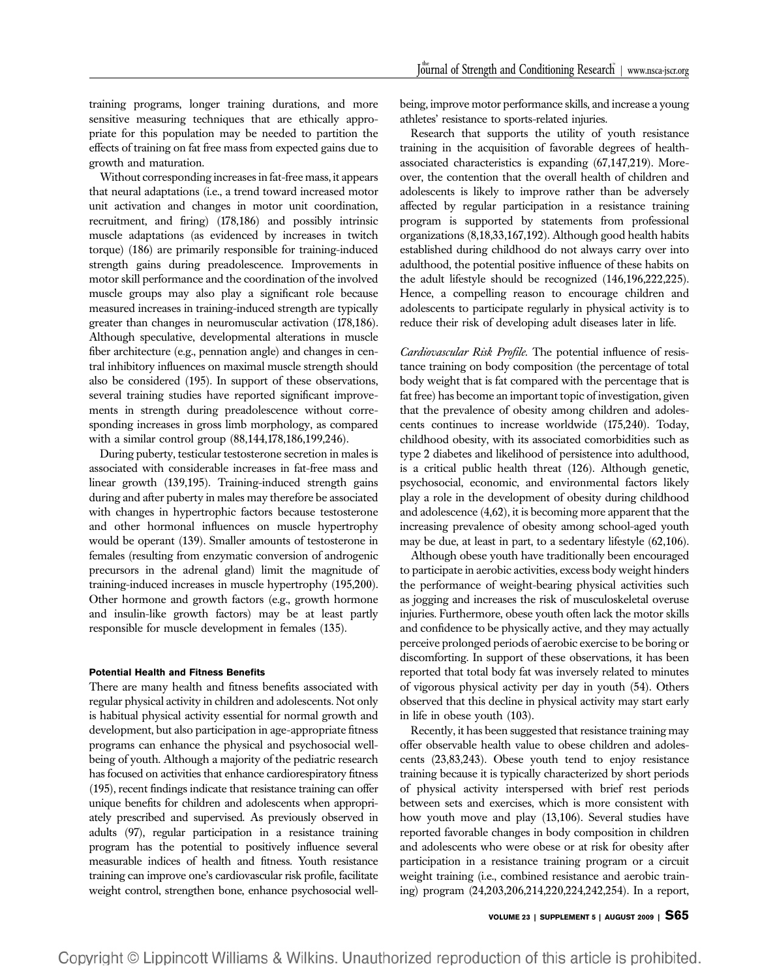training programs, longer training durations, and more sensitive measuring techniques that are ethically appropriate for this population may be needed to partition the effects of training on fat free mass from expected gains due to growth and maturation.

Without corresponding increases in fat-free mass, it appears that neural adaptations (i.e., a trend toward increased motor unit activation and changes in motor unit coordination, recruitment, and firing) (178,186) and possibly intrinsic muscle adaptations (as evidenced by increases in twitch torque) (186) are primarily responsible for training-induced strength gains during preadolescence. Improvements in motor skill performance and the coordination of the involved muscle groups may also play a significant role because measured increases in training-induced strength are typically greater than changes in neuromuscular activation (178,186). Although speculative, developmental alterations in muscle fiber architecture (e.g., pennation angle) and changes in central inhibitory influences on maximal muscle strength should also be considered (195). In support of these observations, several training studies have reported significant improvements in strength during preadolescence without corresponding increases in gross limb morphology, as compared with a similar control group (88,144,178,186,199,246).

During puberty, testicular testosterone secretion in males is associated with considerable increases in fat-free mass and linear growth (139,195). Training-induced strength gains during and after puberty in males may therefore be associated with changes in hypertrophic factors because testosterone and other hormonal influences on muscle hypertrophy would be operant (139). Smaller amounts of testosterone in females (resulting from enzymatic conversion of androgenic precursors in the adrenal gland) limit the magnitude of training-induced increases in muscle hypertrophy (195,200). Other hormone and growth factors (e.g., growth hormone and insulin-like growth factors) may be at least partly responsible for muscle development in females (135).

#### Potential Health and Fitness Benefits

There are many health and fitness benefits associated with regular physical activity in children and adolescents. Not only is habitual physical activity essential for normal growth and development, but also participation in age-appropriate fitness programs can enhance the physical and psychosocial wellbeing of youth. Although a majority of the pediatric research has focused on activities that enhance cardiorespiratory fitness (195), recent findings indicate that resistance training can offer unique benefits for children and adolescents when appropriately prescribed and supervised. As previously observed in adults (97), regular participation in a resistance training program has the potential to positively influence several measurable indices of health and fitness. Youth resistance training can improve one's cardiovascular risk profile, facilitate weight control, strengthen bone, enhance psychosocial wellbeing, improve motor performance skills, and increase a young athletes' resistance to sports-related injuries.

Research that supports the utility of youth resistance training in the acquisition of favorable degrees of healthassociated characteristics is expanding (67,147,219). Moreover, the contention that the overall health of children and adolescents is likely to improve rather than be adversely affected by regular participation in a resistance training program is supported by statements from professional organizations (8,18,33,167,192). Although good health habits established during childhood do not always carry over into adulthood, the potential positive influence of these habits on the adult lifestyle should be recognized (146,196,222,225). Hence, a compelling reason to encourage children and adolescents to participate regularly in physical activity is to reduce their risk of developing adult diseases later in life.

Cardiovascular Risk Profile. The potential influence of resistance training on body composition (the percentage of total body weight that is fat compared with the percentage that is fat free) has become an important topic of investigation, given that the prevalence of obesity among children and adolescents continues to increase worldwide (175,240). Today, childhood obesity, with its associated comorbidities such as type 2 diabetes and likelihood of persistence into adulthood, is a critical public health threat (126). Although genetic, psychosocial, economic, and environmental factors likely play a role in the development of obesity during childhood and adolescence (4,62), it is becoming more apparent that the increasing prevalence of obesity among school-aged youth may be due, at least in part, to a sedentary lifestyle (62,106).

Although obese youth have traditionally been encouraged to participate in aerobic activities, excess body weight hinders the performance of weight-bearing physical activities such as jogging and increases the risk of musculoskeletal overuse injuries. Furthermore, obese youth often lack the motor skills and confidence to be physically active, and they may actually perceive prolonged periods of aerobic exercise to be boring or discomforting. In support of these observations, it has been reported that total body fat was inversely related to minutes of vigorous physical activity per day in youth (54). Others observed that this decline in physical activity may start early in life in obese youth (103).

Recently, it has been suggested that resistance training may offer observable health value to obese children and adolescents (23,83,243). Obese youth tend to enjoy resistance training because it is typically characterized by short periods of physical activity interspersed with brief rest periods between sets and exercises, which is more consistent with how youth move and play (13,106). Several studies have reported favorable changes in body composition in children and adolescents who were obese or at risk for obesity after participation in a resistance training program or a circuit weight training (i.e., combined resistance and aerobic training) program (24,203,206,214,220,224,242,254). In a report,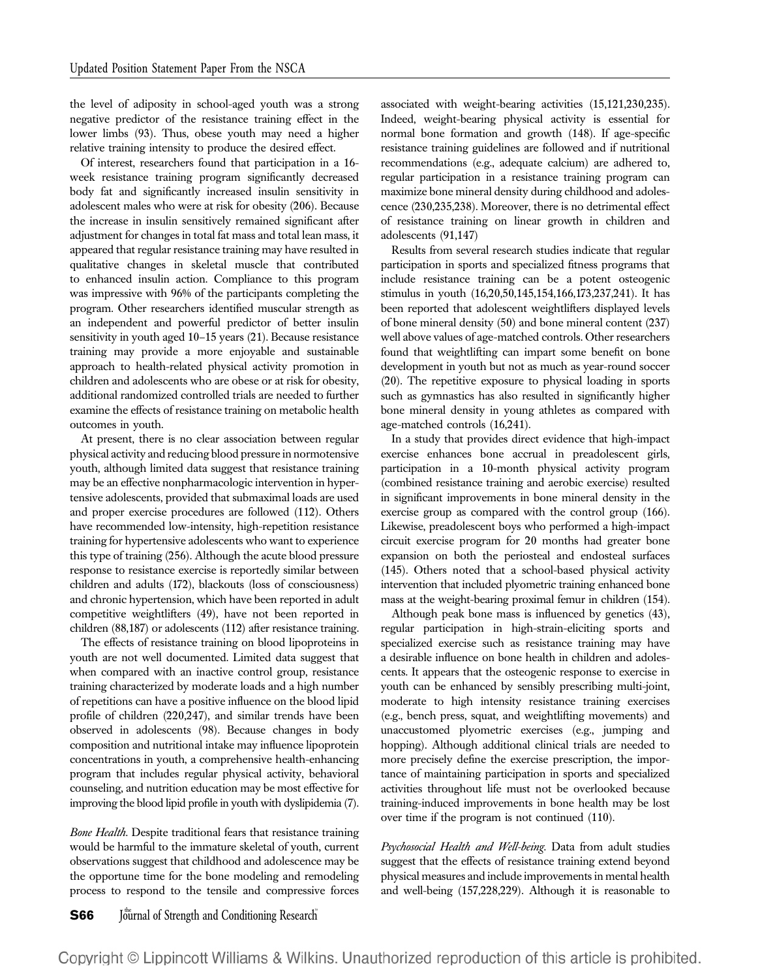the level of adiposity in school-aged youth was a strong negative predictor of the resistance training effect in the lower limbs (93). Thus, obese youth may need a higher relative training intensity to produce the desired effect.

Of interest, researchers found that participation in a 16 week resistance training program significantly decreased body fat and significantly increased insulin sensitivity in adolescent males who were at risk for obesity (206). Because the increase in insulin sensitively remained significant after adjustment for changes in total fat mass and total lean mass, it appeared that regular resistance training may have resulted in qualitative changes in skeletal muscle that contributed to enhanced insulin action. Compliance to this program was impressive with 96% of the participants completing the program. Other researchers identified muscular strength as an independent and powerful predictor of better insulin sensitivity in youth aged 10–15 years (21). Because resistance training may provide a more enjoyable and sustainable approach to health-related physical activity promotion in children and adolescents who are obese or at risk for obesity, additional randomized controlled trials are needed to further examine the effects of resistance training on metabolic health outcomes in youth.

At present, there is no clear association between regular physical activity and reducing blood pressure in normotensive youth, although limited data suggest that resistance training may be an effective nonpharmacologic intervention in hypertensive adolescents, provided that submaximal loads are used and proper exercise procedures are followed (112). Others have recommended low-intensity, high-repetition resistance training for hypertensive adolescents who want to experience this type of training (256). Although the acute blood pressure response to resistance exercise is reportedly similar between children and adults (172), blackouts (loss of consciousness) and chronic hypertension, which have been reported in adult competitive weightlifters (49), have not been reported in children (88,187) or adolescents (112) after resistance training.

The effects of resistance training on blood lipoproteins in youth are not well documented. Limited data suggest that when compared with an inactive control group, resistance training characterized by moderate loads and a high number of repetitions can have a positive influence on the blood lipid profile of children (220,247), and similar trends have been observed in adolescents (98). Because changes in body composition and nutritional intake may influence lipoprotein concentrations in youth, a comprehensive health-enhancing program that includes regular physical activity, behavioral counseling, and nutrition education may be most effective for improving the blood lipid profile in youth with dyslipidemia (7).

Bone Health. Despite traditional fears that resistance training would be harmful to the immature skeletal of youth, current observations suggest that childhood and adolescence may be the opportune time for the bone modeling and remodeling process to respond to the tensile and compressive forces

associated with weight-bearing activities (15,121,230,235). Indeed, weight-bearing physical activity is essential for normal bone formation and growth (148). If age-specific resistance training guidelines are followed and if nutritional recommendations (e.g., adequate calcium) are adhered to, regular participation in a resistance training program can maximize bone mineral density during childhood and adolescence (230,235,238). Moreover, there is no detrimental effect of resistance training on linear growth in children and adolescents (91,147)

Results from several research studies indicate that regular participation in sports and specialized fitness programs that include resistance training can be a potent osteogenic stimulus in youth (16,20,50,145,154,166,173,237,241). It has been reported that adolescent weightlifters displayed levels of bone mineral density (50) and bone mineral content (237) well above values of age-matched controls. Other researchers found that weightlifting can impart some benefit on bone development in youth but not as much as year-round soccer (20). The repetitive exposure to physical loading in sports such as gymnastics has also resulted in significantly higher bone mineral density in young athletes as compared with age-matched controls (16,241).

In a study that provides direct evidence that high-impact exercise enhances bone accrual in preadolescent girls, participation in a 10-month physical activity program (combined resistance training and aerobic exercise) resulted in significant improvements in bone mineral density in the exercise group as compared with the control group (166). Likewise, preadolescent boys who performed a high-impact circuit exercise program for 20 months had greater bone expansion on both the periosteal and endosteal surfaces (145). Others noted that a school-based physical activity intervention that included plyometric training enhanced bone mass at the weight-bearing proximal femur in children (154).

Although peak bone mass is influenced by genetics (43), regular participation in high-strain-eliciting sports and specialized exercise such as resistance training may have a desirable influence on bone health in children and adolescents. It appears that the osteogenic response to exercise in youth can be enhanced by sensibly prescribing multi-joint, moderate to high intensity resistance training exercises (e.g., bench press, squat, and weightlifting movements) and unaccustomed plyometric exercises (e.g., jumping and hopping). Although additional clinical trials are needed to more precisely define the exercise prescription, the importance of maintaining participation in sports and specialized activities throughout life must not be overlooked because training-induced improvements in bone health may be lost over time if the program is not continued (110).

Psychosocial Health and Well-being. Data from adult studies suggest that the effects of resistance training extend beyond physical measures and include improvements in mental health and well-being (157,228,229). Although it is reasonable to

**S66** Journal of Strength and Conditioning Research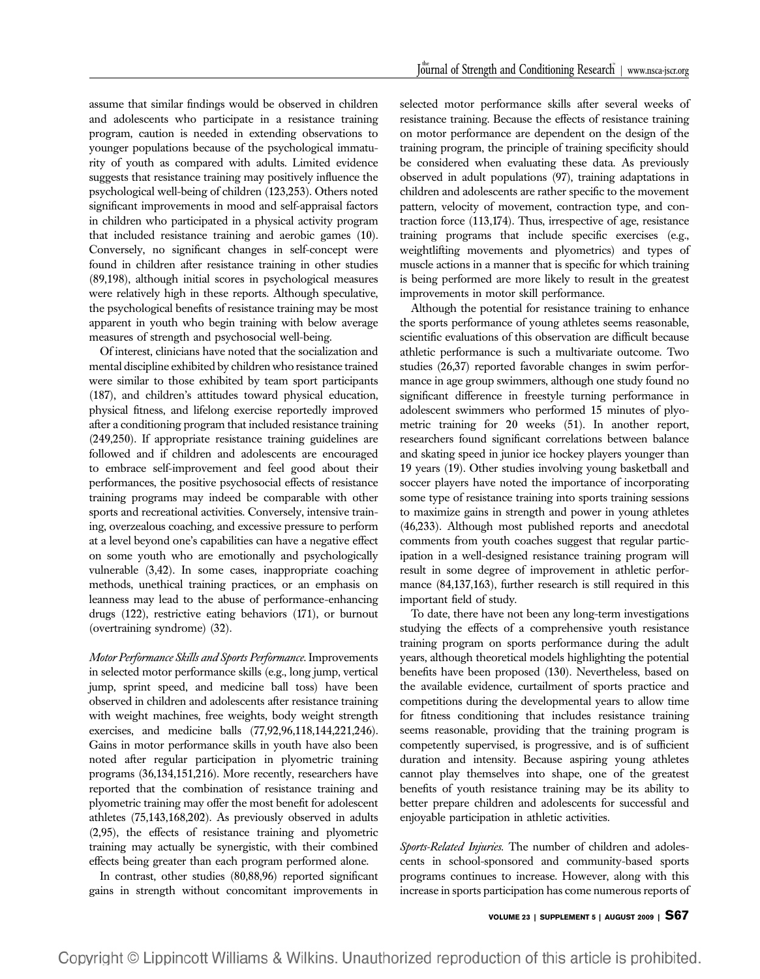assume that similar findings would be observed in children and adolescents who participate in a resistance training program, caution is needed in extending observations to younger populations because of the psychological immaturity of youth as compared with adults. Limited evidence suggests that resistance training may positively influence the psychological well-being of children (123,253). Others noted significant improvements in mood and self-appraisal factors in children who participated in a physical activity program that included resistance training and aerobic games (10). Conversely, no significant changes in self-concept were found in children after resistance training in other studies (89,198), although initial scores in psychological measures were relatively high in these reports. Although speculative, the psychological benefits of resistance training may be most apparent in youth who begin training with below average measures of strength and psychosocial well-being.

Of interest, clinicians have noted that the socialization and mental discipline exhibited by children who resistance trained were similar to those exhibited by team sport participants (187), and children's attitudes toward physical education, physical fitness, and lifelong exercise reportedly improved after a conditioning program that included resistance training (249,250). If appropriate resistance training guidelines are followed and if children and adolescents are encouraged to embrace self-improvement and feel good about their performances, the positive psychosocial effects of resistance training programs may indeed be comparable with other sports and recreational activities. Conversely, intensive training, overzealous coaching, and excessive pressure to perform at a level beyond one's capabilities can have a negative effect on some youth who are emotionally and psychologically vulnerable (3,42). In some cases, inappropriate coaching methods, unethical training practices, or an emphasis on leanness may lead to the abuse of performance-enhancing drugs (122), restrictive eating behaviors (171), or burnout (overtraining syndrome) (32).

Motor Performance Skills and Sports Performance. Improvements in selected motor performance skills (e.g., long jump, vertical jump, sprint speed, and medicine ball toss) have been observed in children and adolescents after resistance training with weight machines, free weights, body weight strength exercises, and medicine balls (77,92,96,118,144,221,246). Gains in motor performance skills in youth have also been noted after regular participation in plyometric training programs (36,134,151,216). More recently, researchers have reported that the combination of resistance training and plyometric training may offer the most benefit for adolescent athletes (75,143,168,202). As previously observed in adults (2,95), the effects of resistance training and plyometric training may actually be synergistic, with their combined effects being greater than each program performed alone.

In contrast, other studies (80,88,96) reported significant gains in strength without concomitant improvements in

selected motor performance skills after several weeks of resistance training. Because the effects of resistance training on motor performance are dependent on the design of the training program, the principle of training specificity should be considered when evaluating these data. As previously observed in adult populations (97), training adaptations in children and adolescents are rather specific to the movement pattern, velocity of movement, contraction type, and contraction force (113,174). Thus, irrespective of age, resistance training programs that include specific exercises (e.g., weightlifting movements and plyometrics) and types of muscle actions in a manner that is specific for which training is being performed are more likely to result in the greatest improvements in motor skill performance.

Although the potential for resistance training to enhance the sports performance of young athletes seems reasonable, scientific evaluations of this observation are difficult because athletic performance is such a multivariate outcome. Two studies (26,37) reported favorable changes in swim performance in age group swimmers, although one study found no significant difference in freestyle turning performance in adolescent swimmers who performed 15 minutes of plyometric training for 20 weeks (51). In another report, researchers found significant correlations between balance and skating speed in junior ice hockey players younger than 19 years (19). Other studies involving young basketball and soccer players have noted the importance of incorporating some type of resistance training into sports training sessions to maximize gains in strength and power in young athletes (46,233). Although most published reports and anecdotal comments from youth coaches suggest that regular participation in a well-designed resistance training program will result in some degree of improvement in athletic performance (84,137,163), further research is still required in this important field of study.

To date, there have not been any long-term investigations studying the effects of a comprehensive youth resistance training program on sports performance during the adult years, although theoretical models highlighting the potential benefits have been proposed (130). Nevertheless, based on the available evidence, curtailment of sports practice and competitions during the developmental years to allow time for fitness conditioning that includes resistance training seems reasonable, providing that the training program is competently supervised, is progressive, and is of sufficient duration and intensity. Because aspiring young athletes cannot play themselves into shape, one of the greatest benefits of youth resistance training may be its ability to better prepare children and adolescents for successful and enjoyable participation in athletic activities.

Sports-Related Injuries. The number of children and adolescents in school-sponsored and community-based sports programs continues to increase. However, along with this increase in sports participation has come numerous reports of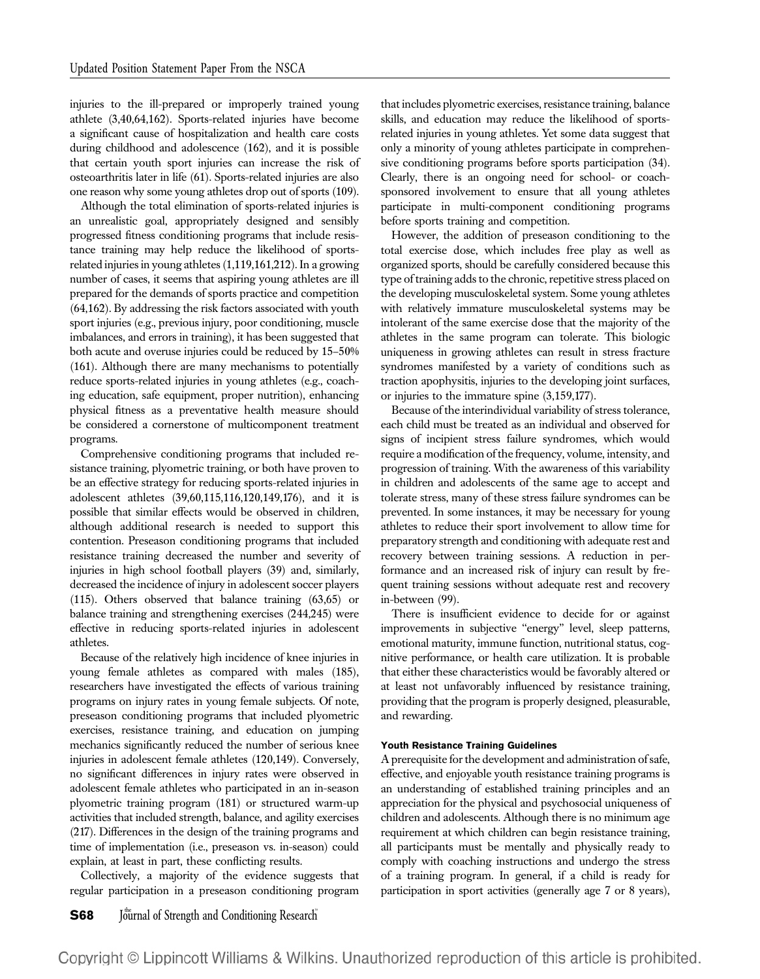injuries to the ill-prepared or improperly trained young athlete (3,40,64,162). Sports-related injuries have become a significant cause of hospitalization and health care costs during childhood and adolescence (162), and it is possible that certain youth sport injuries can increase the risk of osteoarthritis later in life (61). Sports-related injuries are also one reason why some young athletes drop out of sports (109).

Although the total elimination of sports-related injuries is an unrealistic goal, appropriately designed and sensibly progressed fitness conditioning programs that include resistance training may help reduce the likelihood of sportsrelated injuries in young athletes (1,119,161,212). In a growing number of cases, it seems that aspiring young athletes are ill prepared for the demands of sports practice and competition (64,162). By addressing the risk factors associated with youth sport injuries (e.g., previous injury, poor conditioning, muscle imbalances, and errors in training), it has been suggested that both acute and overuse injuries could be reduced by 15–50% (161). Although there are many mechanisms to potentially reduce sports-related injuries in young athletes (e.g., coaching education, safe equipment, proper nutrition), enhancing physical fitness as a preventative health measure should be considered a cornerstone of multicomponent treatment programs.

Comprehensive conditioning programs that included resistance training, plyometric training, or both have proven to be an effective strategy for reducing sports-related injuries in adolescent athletes (39,60,115,116,120,149,176), and it is possible that similar effects would be observed in children, although additional research is needed to support this contention. Preseason conditioning programs that included resistance training decreased the number and severity of injuries in high school football players (39) and, similarly, decreased the incidence of injury in adolescent soccer players (115). Others observed that balance training (63,65) or balance training and strengthening exercises (244,245) were effective in reducing sports-related injuries in adolescent athletes.

Because of the relatively high incidence of knee injuries in young female athletes as compared with males (185), researchers have investigated the effects of various training programs on injury rates in young female subjects. Of note, preseason conditioning programs that included plyometric exercises, resistance training, and education on jumping mechanics significantly reduced the number of serious knee injuries in adolescent female athletes (120,149). Conversely, no significant differences in injury rates were observed in adolescent female athletes who participated in an in-season plyometric training program (181) or structured warm-up activities that included strength, balance, and agility exercises (217). Differences in the design of the training programs and time of implementation (i.e., preseason vs. in-season) could explain, at least in part, these conflicting results.

Collectively, a majority of the evidence suggests that regular participation in a preseason conditioning program

**S68** Journal of Strength and Conditioning Research

that includes plyometric exercises, resistance training, balance skills, and education may reduce the likelihood of sportsrelated injuries in young athletes. Yet some data suggest that only a minority of young athletes participate in comprehensive conditioning programs before sports participation (34). Clearly, there is an ongoing need for school- or coachsponsored involvement to ensure that all young athletes participate in multi-component conditioning programs before sports training and competition.

However, the addition of preseason conditioning to the total exercise dose, which includes free play as well as organized sports, should be carefully considered because this type of training adds to the chronic, repetitive stress placed on the developing musculoskeletal system. Some young athletes with relatively immature musculoskeletal systems may be intolerant of the same exercise dose that the majority of the athletes in the same program can tolerate. This biologic uniqueness in growing athletes can result in stress fracture syndromes manifested by a variety of conditions such as traction apophysitis, injuries to the developing joint surfaces, or injuries to the immature spine (3,159,177).

Because of the interindividual variability of stress tolerance, each child must be treated as an individual and observed for signs of incipient stress failure syndromes, which would require a modification of the frequency, volume, intensity, and progression of training. With the awareness of this variability in children and adolescents of the same age to accept and tolerate stress, many of these stress failure syndromes can be prevented. In some instances, it may be necessary for young athletes to reduce their sport involvement to allow time for preparatory strength and conditioning with adequate rest and recovery between training sessions. A reduction in performance and an increased risk of injury can result by frequent training sessions without adequate rest and recovery in-between (99).

There is insufficient evidence to decide for or against improvements in subjective "energy" level, sleep patterns, emotional maturity, immune function, nutritional status, cognitive performance, or health care utilization. It is probable that either these characteristics would be favorably altered or at least not unfavorably influenced by resistance training, providing that the program is properly designed, pleasurable, and rewarding.

#### Youth Resistance Training Guidelines

A prerequisite for the development and administration of safe, effective, and enjoyable youth resistance training programs is an understanding of established training principles and an appreciation for the physical and psychosocial uniqueness of children and adolescents. Although there is no minimum age requirement at which children can begin resistance training, all participants must be mentally and physically ready to comply with coaching instructions and undergo the stress of a training program. In general, if a child is ready for participation in sport activities (generally age 7 or 8 years),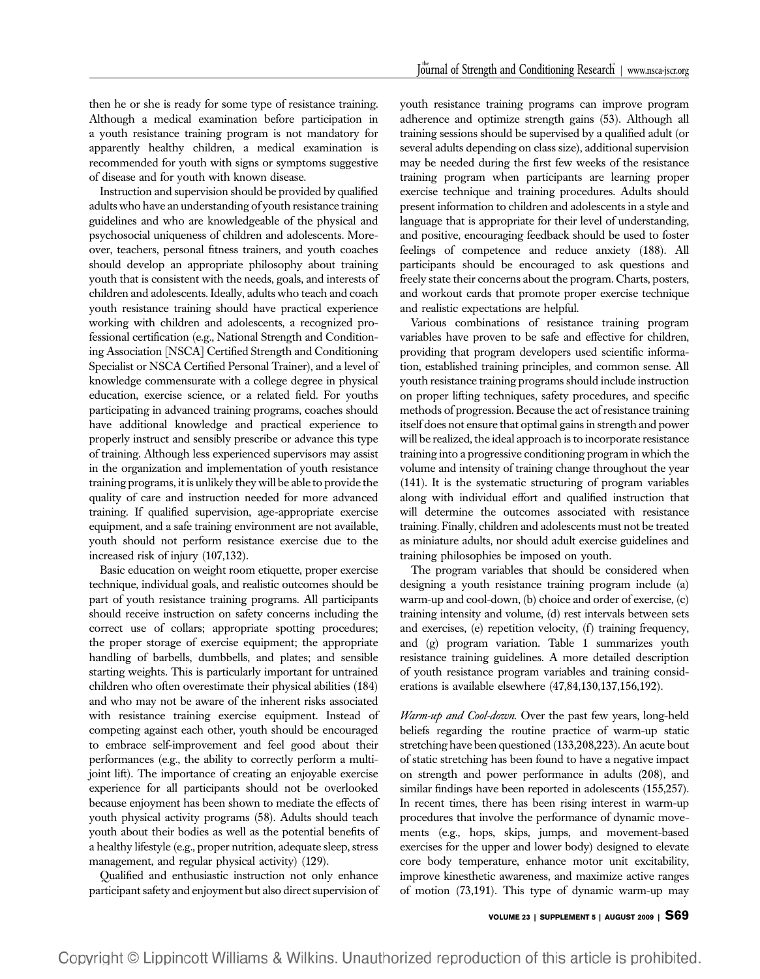then he or she is ready for some type of resistance training. Although a medical examination before participation in a youth resistance training program is not mandatory for apparently healthy children, a medical examination is recommended for youth with signs or symptoms suggestive of disease and for youth with known disease.

Instruction and supervision should be provided by qualified adults who have an understanding of youth resistance training guidelines and who are knowledgeable of the physical and psychosocial uniqueness of children and adolescents. Moreover, teachers, personal fitness trainers, and youth coaches should develop an appropriate philosophy about training youth that is consistent with the needs, goals, and interests of children and adolescents. Ideally, adults who teach and coach youth resistance training should have practical experience working with children and adolescents, a recognized professional certification (e.g., National Strength and Conditioning Association [NSCA] Certified Strength and Conditioning Specialist or NSCA Certified Personal Trainer), and a level of knowledge commensurate with a college degree in physical education, exercise science, or a related field. For youths participating in advanced training programs, coaches should have additional knowledge and practical experience to properly instruct and sensibly prescribe or advance this type of training. Although less experienced supervisors may assist in the organization and implementation of youth resistance training programs, it is unlikely they will be able to provide the quality of care and instruction needed for more advanced training. If qualified supervision, age-appropriate exercise equipment, and a safe training environment are not available, youth should not perform resistance exercise due to the increased risk of injury (107,132).

Basic education on weight room etiquette, proper exercise technique, individual goals, and realistic outcomes should be part of youth resistance training programs. All participants should receive instruction on safety concerns including the correct use of collars; appropriate spotting procedures; the proper storage of exercise equipment; the appropriate handling of barbells, dumbbells, and plates; and sensible starting weights. This is particularly important for untrained children who often overestimate their physical abilities (184) and who may not be aware of the inherent risks associated with resistance training exercise equipment. Instead of competing against each other, youth should be encouraged to embrace self-improvement and feel good about their performances (e.g., the ability to correctly perform a multijoint lift). The importance of creating an enjoyable exercise experience for all participants should not be overlooked because enjoyment has been shown to mediate the effects of youth physical activity programs (58). Adults should teach youth about their bodies as well as the potential benefits of a healthy lifestyle (e.g., proper nutrition, adequate sleep, stress management, and regular physical activity) (129).

Qualified and enthusiastic instruction not only enhance participant safety and enjoyment but also direct supervision of youth resistance training programs can improve program adherence and optimize strength gains (53). Although all training sessions should be supervised by a qualified adult (or several adults depending on class size), additional supervision may be needed during the first few weeks of the resistance training program when participants are learning proper exercise technique and training procedures. Adults should present information to children and adolescents in a style and language that is appropriate for their level of understanding, and positive, encouraging feedback should be used to foster feelings of competence and reduce anxiety (188). All participants should be encouraged to ask questions and freely state their concerns about the program. Charts, posters, and workout cards that promote proper exercise technique and realistic expectations are helpful.

Various combinations of resistance training program variables have proven to be safe and effective for children, providing that program developers used scientific information, established training principles, and common sense. All youth resistance training programs should include instruction on proper lifting techniques, safety procedures, and specific methods of progression. Because the act of resistance training itself does not ensure that optimal gains in strength and power will be realized, the ideal approach is to incorporate resistance training into a progressive conditioning program in which the volume and intensity of training change throughout the year (141). It is the systematic structuring of program variables along with individual effort and qualified instruction that will determine the outcomes associated with resistance training. Finally, children and adolescents must not be treated as miniature adults, nor should adult exercise guidelines and training philosophies be imposed on youth.

The program variables that should be considered when designing a youth resistance training program include (a) warm-up and cool-down, (b) choice and order of exercise, (c) training intensity and volume, (d) rest intervals between sets and exercises,  $(e)$  repetition velocity,  $(f)$  training frequency, and (g) program variation. Table 1 summarizes youth resistance training guidelines. A more detailed description of youth resistance program variables and training considerations is available elsewhere (47,84,130,137,156,192).

Warm-up and Cool-down. Over the past few years, long-held beliefs regarding the routine practice of warm-up static stretching have been questioned (133,208,223). An acute bout of static stretching has been found to have a negative impact on strength and power performance in adults (208), and similar findings have been reported in adolescents (155,257). In recent times, there has been rising interest in warm-up procedures that involve the performance of dynamic movements (e.g., hops, skips, jumps, and movement-based exercises for the upper and lower body) designed to elevate core body temperature, enhance motor unit excitability, improve kinesthetic awareness, and maximize active ranges of motion (73,191). This type of dynamic warm-up may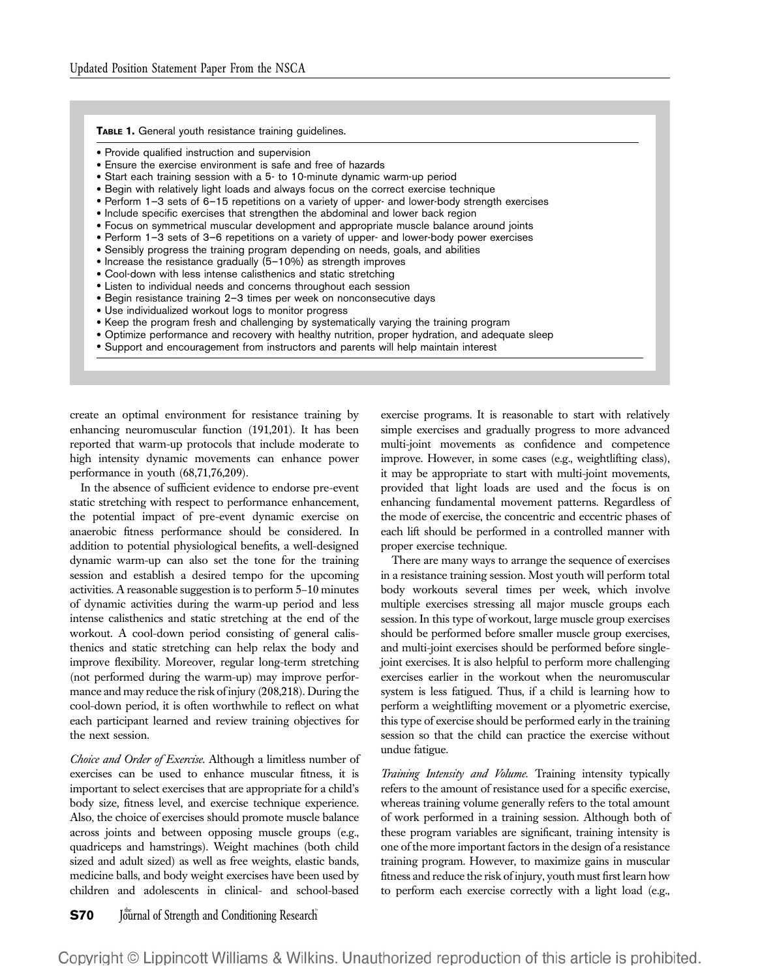#### TABLE 1. General youth resistance training guidelines.

- Provide qualified instruction and supervision
- Ensure the exercise environment is safe and free of hazards
- Start each training session with a 5- to 10-minute dynamic warm-up period
- Begin with relatively light loads and always focus on the correct exercise technique
- Perform 1–3 sets of 6–15 repetitions on a variety of upper- and lower-body strength exercises
- Include specific exercises that strengthen the abdominal and lower back region
- Focus on symmetrical muscular development and appropriate muscle balance around joints
- Perform 1–3 sets of 3–6 repetitions on a variety of upper- and lower-body power exercises
- Sensibly progress the training program depending on needs, goals, and abilities
- $\bullet$  Increase the resistance gradually  $(5-10\%)$  as strength improves
- Cool-down with less intense calisthenics and static stretching
- Listen to individual needs and concerns throughout each session
- Begin resistance training 2–3 times per week on nonconsecutive days
- Use individualized workout logs to monitor progress
- Keep the program fresh and challenging by systematically varying the training program
- Optimize performance and recovery with healthy nutrition, proper hydration, and adequate sleep
- Support and encouragement from instructors and parents will help maintain interest

create an optimal environment for resistance training by enhancing neuromuscular function (191,201). It has been reported that warm-up protocols that include moderate to high intensity dynamic movements can enhance power performance in youth (68,71,76,209).

In the absence of sufficient evidence to endorse pre-event static stretching with respect to performance enhancement, the potential impact of pre-event dynamic exercise on anaerobic fitness performance should be considered. In addition to potential physiological benefits, a well-designed dynamic warm-up can also set the tone for the training session and establish a desired tempo for the upcoming activities. A reasonable suggestion is to perform 5–10 minutes of dynamic activities during the warm-up period and less intense calisthenics and static stretching at the end of the workout. A cool-down period consisting of general calisthenics and static stretching can help relax the body and improve flexibility. Moreover, regular long-term stretching (not performed during the warm-up) may improve performance and may reduce the risk of injury (208,218). During the cool-down period, it is often worthwhile to reflect on what each participant learned and review training objectives for the next session.

Choice and Order of Exercise. Although a limitless number of exercises can be used to enhance muscular fitness, it is important to select exercises that are appropriate for a child's body size, fitness level, and exercise technique experience. Also, the choice of exercises should promote muscle balance across joints and between opposing muscle groups (e.g., quadriceps and hamstrings). Weight machines (both child sized and adult sized) as well as free weights, elastic bands, medicine balls, and body weight exercises have been used by children and adolescents in clinical- and school-based

exercise programs. It is reasonable to start with relatively simple exercises and gradually progress to more advanced multi-joint movements as confidence and competence improve. However, in some cases (e.g., weightlifting class), it may be appropriate to start with multi-joint movements, provided that light loads are used and the focus is on enhancing fundamental movement patterns. Regardless of the mode of exercise, the concentric and eccentric phases of each lift should be performed in a controlled manner with proper exercise technique.

There are many ways to arrange the sequence of exercises in a resistance training session. Most youth will perform total body workouts several times per week, which involve multiple exercises stressing all major muscle groups each session. In this type of workout, large muscle group exercises should be performed before smaller muscle group exercises, and multi-joint exercises should be performed before singlejoint exercises. It is also helpful to perform more challenging exercises earlier in the workout when the neuromuscular system is less fatigued. Thus, if a child is learning how to perform a weightlifting movement or a plyometric exercise, this type of exercise should be performed early in the training session so that the child can practice the exercise without undue fatigue.

Training Intensity and Volume. Training intensity typically refers to the amount of resistance used for a specific exercise, whereas training volume generally refers to the total amount of work performed in a training session. Although both of these program variables are significant, training intensity is one of the more important factors in the design of a resistance training program. However, to maximize gains in muscular fitness and reduce the risk of injury, youth must first learn how to perform each exercise correctly with a light load (e.g.,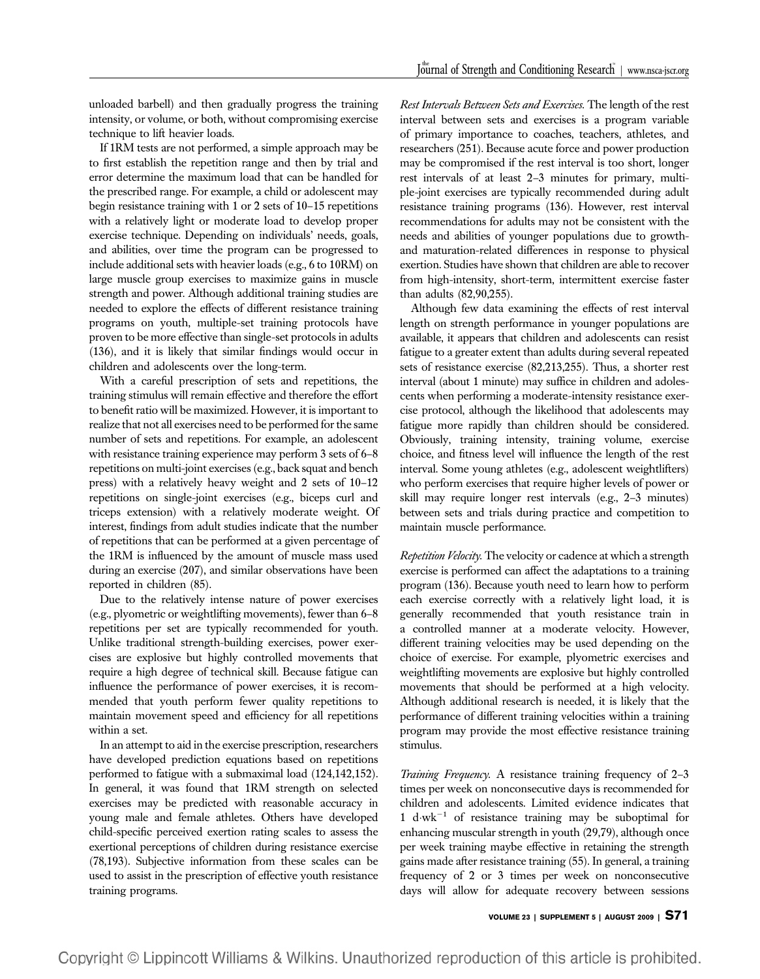unloaded barbell) and then gradually progress the training intensity, or volume, or both, without compromising exercise technique to lift heavier loads.

If 1RM tests are not performed, a simple approach may be to first establish the repetition range and then by trial and error determine the maximum load that can be handled for the prescribed range. For example, a child or adolescent may begin resistance training with 1 or 2 sets of 10–15 repetitions with a relatively light or moderate load to develop proper exercise technique. Depending on individuals' needs, goals, and abilities, over time the program can be progressed to include additional sets with heavier loads (e.g., 6 to 10RM) on large muscle group exercises to maximize gains in muscle strength and power. Although additional training studies are needed to explore the effects of different resistance training programs on youth, multiple-set training protocols have proven to be more effective than single-set protocols in adults (136), and it is likely that similar findings would occur in children and adolescents over the long-term.

With a careful prescription of sets and repetitions, the training stimulus will remain effective and therefore the effort to benefit ratio will be maximized. However, it is important to realize that not all exercises need to be performed for the same number of sets and repetitions. For example, an adolescent with resistance training experience may perform 3 sets of 6–8 repetitions on multi-joint exercises (e.g., back squat and bench press) with a relatively heavy weight and 2 sets of 10–12 repetitions on single-joint exercises (e.g., biceps curl and triceps extension) with a relatively moderate weight. Of interest, findings from adult studies indicate that the number of repetitions that can be performed at a given percentage of the 1RM is influenced by the amount of muscle mass used during an exercise (207), and similar observations have been reported in children (85).

Due to the relatively intense nature of power exercises (e.g., plyometric or weightlifting movements), fewer than 6–8 repetitions per set are typically recommended for youth. Unlike traditional strength-building exercises, power exercises are explosive but highly controlled movements that require a high degree of technical skill. Because fatigue can influence the performance of power exercises, it is recommended that youth perform fewer quality repetitions to maintain movement speed and efficiency for all repetitions within a set.

In an attempt to aid in the exercise prescription, researchers have developed prediction equations based on repetitions performed to fatigue with a submaximal load (124,142,152). In general, it was found that 1RM strength on selected exercises may be predicted with reasonable accuracy in young male and female athletes. Others have developed child-specific perceived exertion rating scales to assess the exertional perceptions of children during resistance exercise (78,193). Subjective information from these scales can be used to assist in the prescription of effective youth resistance training programs.

Rest Intervals Between Sets and Exercises. The length of the rest interval between sets and exercises is a program variable of primary importance to coaches, teachers, athletes, and researchers (251). Because acute force and power production may be compromised if the rest interval is too short, longer rest intervals of at least 2–3 minutes for primary, multiple-joint exercises are typically recommended during adult resistance training programs (136). However, rest interval recommendations for adults may not be consistent with the needs and abilities of younger populations due to growthand maturation-related differences in response to physical exertion. Studies have shown that children are able to recover from high-intensity, short-term, intermittent exercise faster than adults (82,90,255).

Although few data examining the effects of rest interval length on strength performance in younger populations are available, it appears that children and adolescents can resist fatigue to a greater extent than adults during several repeated sets of resistance exercise (82,213,255). Thus, a shorter rest interval (about 1 minute) may suffice in children and adolescents when performing a moderate-intensity resistance exercise protocol, although the likelihood that adolescents may fatigue more rapidly than children should be considered. Obviously, training intensity, training volume, exercise choice, and fitness level will influence the length of the rest interval. Some young athletes (e.g., adolescent weightlifters) who perform exercises that require higher levels of power or skill may require longer rest intervals (e.g., 2–3 minutes) between sets and trials during practice and competition to maintain muscle performance.

Repetition Velocity. The velocity or cadence at which a strength exercise is performed can affect the adaptations to a training program (136). Because youth need to learn how to perform each exercise correctly with a relatively light load, it is generally recommended that youth resistance train in a controlled manner at a moderate velocity. However, different training velocities may be used depending on the choice of exercise. For example, plyometric exercises and weightlifting movements are explosive but highly controlled movements that should be performed at a high velocity. Although additional research is needed, it is likely that the performance of different training velocities within a training program may provide the most effective resistance training stimulus.

Training Frequency. A resistance training frequency of 2-3 times per week on nonconsecutive days is recommended for children and adolescents. Limited evidence indicates that 1 d·wk<sup>-1</sup> of resistance training may be suboptimal for enhancing muscular strength in youth (29,79), although once per week training maybe effective in retaining the strength gains made after resistance training (55). In general, a training frequency of 2 or 3 times per week on nonconsecutive days will allow for adequate recovery between sessions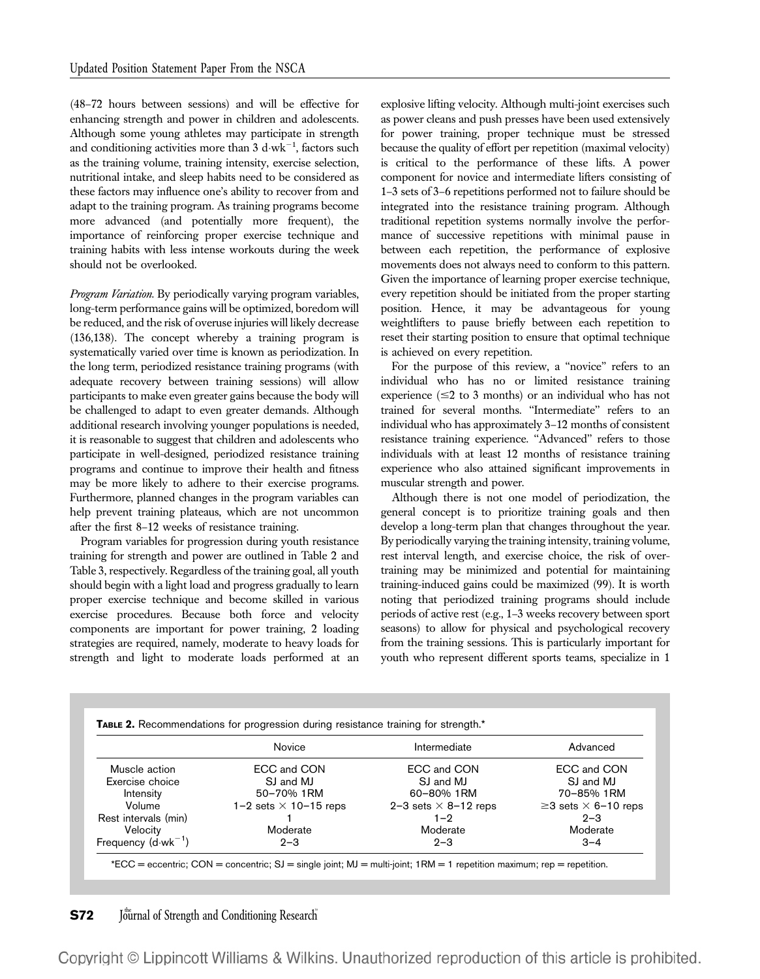(48–72 hours between sessions) and will be effective for enhancing strength and power in children and adolescents. Although some young athletes may participate in strength and conditioning activities more than 3  $\rm{d}\cdot\rm{wk}^{-1}$ , factors such as the training volume, training intensity, exercise selection, nutritional intake, and sleep habits need to be considered as these factors may influence one's ability to recover from and adapt to the training program. As training programs become more advanced (and potentially more frequent), the importance of reinforcing proper exercise technique and training habits with less intense workouts during the week should not be overlooked.

Program Variation. By periodically varying program variables, long-term performance gains will be optimized, boredom will be reduced, and the risk of overuse injuries will likely decrease (136,138). The concept whereby a training program is systematically varied over time is known as periodization. In the long term, periodized resistance training programs (with adequate recovery between training sessions) will allow participants to make even greater gains because the body will be challenged to adapt to even greater demands. Although additional research involving younger populations is needed, it is reasonable to suggest that children and adolescents who participate in well-designed, periodized resistance training programs and continue to improve their health and fitness may be more likely to adhere to their exercise programs. Furthermore, planned changes in the program variables can help prevent training plateaus, which are not uncommon after the first 8–12 weeks of resistance training.

Program variables for progression during youth resistance training for strength and power are outlined in Table 2 and Table 3, respectively. Regardless of the training goal, all youth should begin with a light load and progress gradually to learn proper exercise technique and become skilled in various exercise procedures. Because both force and velocity components are important for power training, 2 loading strategies are required, namely, moderate to heavy loads for strength and light to moderate loads performed at an

explosive lifting velocity. Although multi-joint exercises such as power cleans and push presses have been used extensively for power training, proper technique must be stressed because the quality of effort per repetition (maximal velocity) is critical to the performance of these lifts. A power component for novice and intermediate lifters consisting of 1–3 sets of 3–6 repetitions performed not to failure should be integrated into the resistance training program. Although traditional repetition systems normally involve the performance of successive repetitions with minimal pause in between each repetition, the performance of explosive movements does not always need to conform to this pattern. Given the importance of learning proper exercise technique, every repetition should be initiated from the proper starting position. Hence, it may be advantageous for young weightlifters to pause briefly between each repetition to reset their starting position to ensure that optimal technique is achieved on every repetition.

For the purpose of this review, a ''novice'' refers to an individual who has no or limited resistance training experience  $(\leq 2$  to 3 months) or an individual who has not trained for several months. ''Intermediate'' refers to an individual who has approximately 3–12 months of consistent resistance training experience. "Advanced" refers to those individuals with at least 12 months of resistance training experience who also attained significant improvements in muscular strength and power.

Although there is not one model of periodization, the general concept is to prioritize training goals and then develop a long-term plan that changes throughout the year. By periodically varying the training intensity, training volume, rest interval length, and exercise choice, the risk of overtraining may be minimized and potential for maintaining training-induced gains could be maximized (99). It is worth noting that periodized training programs should include periods of active rest (e.g., 1–3 weeks recovery between sport seasons) to allow for physical and psychological recovery from the training sessions. This is particularly important for youth who represent different sports teams, specialize in 1

|                               | Novice                       | Intermediate                | Advanced                         |
|-------------------------------|------------------------------|-----------------------------|----------------------------------|
| Muscle action                 | ECC and CON                  | ECC and CON                 | ECC and CON                      |
| Exercise choice               | SJ and MJ                    | SJ and MJ                   | SJ and MJ                        |
| Intensity                     | 50-70% 1RM                   | 60-80% 1RM                  | 70-85% 1RM                       |
| Volume                        | 1-2 sets $\times$ 10-15 reps | 2-3 sets $\times$ 8-12 reps | $\geq$ 3 sets $\times$ 6-10 reps |
| Rest intervals (min)          |                              | $1 - 2$                     | $2 - 3$                          |
| Velocity                      | Moderate                     | Moderate                    | Moderate                         |
| Frequency $(d \cdot wk^{-1})$ | $2 - 3$                      | $2 - 3$                     | $3 - 4$                          |

## **S72** Journal of Strength and Conditioning Research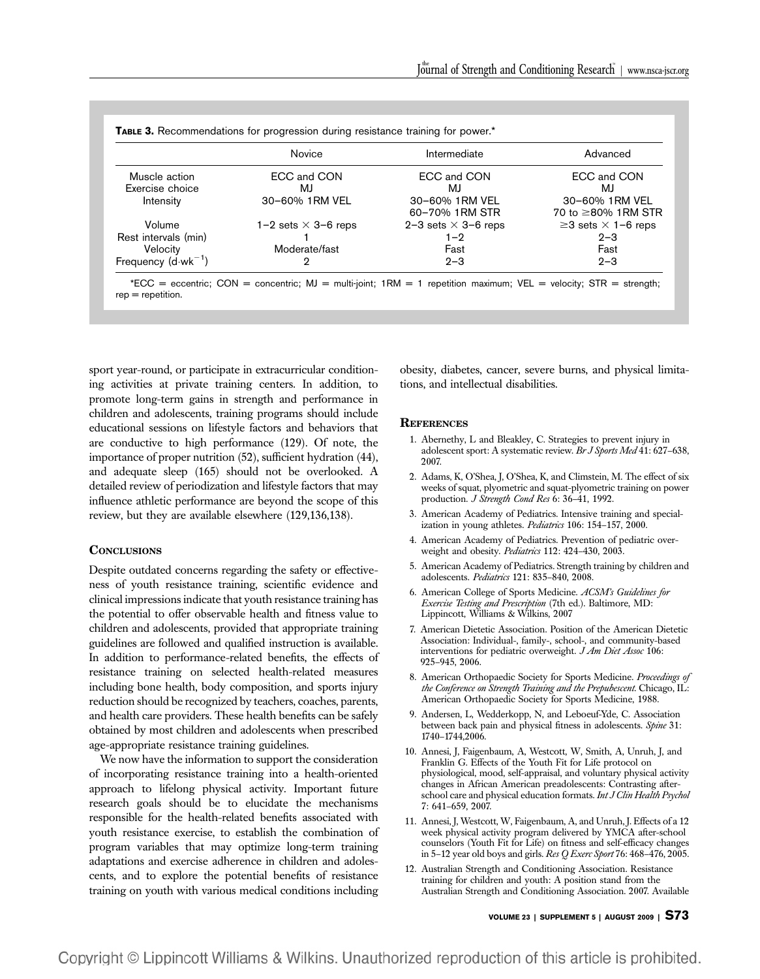|                               | Novice                     | Intermediate               | Advanced                        |
|-------------------------------|----------------------------|----------------------------|---------------------------------|
| Muscle action                 | ECC and CON                | ECC and CON                | ECC and CON                     |
| Exercise choice               | MJ                         | MJ                         | MJ.                             |
| Intensity                     | 30-60% 1RM VEL             | 30-60% 1RM VEL             | 30-60% 1RM VEL                  |
|                               |                            | 60-70% 1RM STR             | 70 to ≥80% 1RM STR              |
| Volume                        | 1–2 sets $\times$ 3–6 reps | 2-3 sets $\times$ 3-6 reps | $\geq$ 3 sets $\times$ 1-6 reps |
| Rest intervals (min)          |                            | $1 - 2$                    | $2 - 3$                         |
| Velocity                      | Moderate/fast              | Fast                       | Fast                            |
| Frequency $(d \cdot wk^{-1})$ | 2                          | $2 - 3$                    | $2 - 3$                         |

 ${}^{\star}$ ECC = eccentric; CON = concentric; MJ = multi-joint; 1RM = 1 repetition maximum; VEL = velocity; STR = strength;  $rep = repetition.$ 

sport year-round, or participate in extracurricular conditioning activities at private training centers. In addition, to promote long-term gains in strength and performance in children and adolescents, training programs should include educational sessions on lifestyle factors and behaviors that are conductive to high performance (129). Of note, the importance of proper nutrition (52), sufficient hydration (44), and adequate sleep (165) should not be overlooked. A detailed review of periodization and lifestyle factors that may influence athletic performance are beyond the scope of this review, but they are available elsewhere (129,136,138).

### **CONCLUSIONS**

Despite outdated concerns regarding the safety or effectiveness of youth resistance training, scientific evidence and clinical impressions indicate that youth resistance training has the potential to offer observable health and fitness value to children and adolescents, provided that appropriate training guidelines are followed and qualified instruction is available. In addition to performance-related benefits, the effects of resistance training on selected health-related measures including bone health, body composition, and sports injury reduction should be recognized by teachers, coaches, parents, and health care providers. These health benefits can be safely obtained by most children and adolescents when prescribed age-appropriate resistance training guidelines.

We now have the information to support the consideration of incorporating resistance training into a health-oriented approach to lifelong physical activity. Important future research goals should be to elucidate the mechanisms responsible for the health-related benefits associated with youth resistance exercise, to establish the combination of program variables that may optimize long-term training adaptations and exercise adherence in children and adolescents, and to explore the potential benefits of resistance training on youth with various medical conditions including obesity, diabetes, cancer, severe burns, and physical limitations, and intellectual disabilities.

#### **REFERENCES**

- 1. Abernethy, L and Bleakley, C. Strategies to prevent injury in adolescent sport: A systematic review. Br J Sports Med 41: 627–638, 2007.
- 2. Adams, K, O'Shea, J, O'Shea, K, and Climstein, M. The effect of six weeks of squat, plyometric and squat-plyometric training on power production. *J Strength Cond Res* 6: 36-41, 1992.
- 3. American Academy of Pediatrics. Intensive training and specialization in young athletes. Pediatrics 106: 154-157, 2000.
- 4. American Academy of Pediatrics. Prevention of pediatric overweight and obesity. Pediatrics 112: 424–430, 2003.
- 5. American Academy of Pediatrics. Strength training by children and adolescents. Pediatrics 121: 835–840, 2008.
- 6. American College of Sports Medicine. ACSM's Guidelines for Exercise Testing and Prescription (7th ed.). Baltimore, MD: Lippincott, Williams & Wilkins, 2007
- 7. American Dietetic Association. Position of the American Dietetic Association: Individual-, family-, school-, and community-based interventions for pediatric overweight. J Am Diet Assoc 106: 925–945, 2006.
- 8. American Orthopaedic Society for Sports Medicine. Proceedings of the Conference on Strength Training and the Prepubescent. Chicago, IL: American Orthopaedic Society for Sports Medicine, 1988.
- 9. Andersen, L, Wedderkopp, N, and Leboeuf-Yde, C. Association between back pain and physical fitness in adolescents. Spine 31: 1740–1744,2006.
- 10. Annesi, J, Faigenbaum, A, Westcott, W, Smith, A, Unruh, J, and Franklin G. Effects of the Youth Fit for Life protocol on physiological, mood, self-appraisal, and voluntary physical activity changes in African American preadolescents: Contrasting afterschool care and physical education formats. Int J Clin Health Psychol 7: 641–659, 2007.
- 11. Annesi, J, Westcott, W, Faigenbaum, A, and Unruh, J. Effects of a 12 week physical activity program delivered by YMCA after-school counselors (Youth Fit for Life) on fitness and self-efficacy changes in 5–12 year old boys and girls. Res Q Exerc Sport 76: 468–476, 2005.
- 12. Australian Strength and Conditioning Association. Resistance training for children and youth: A position stand from the Australian Strength and Conditioning Association. 2007. Available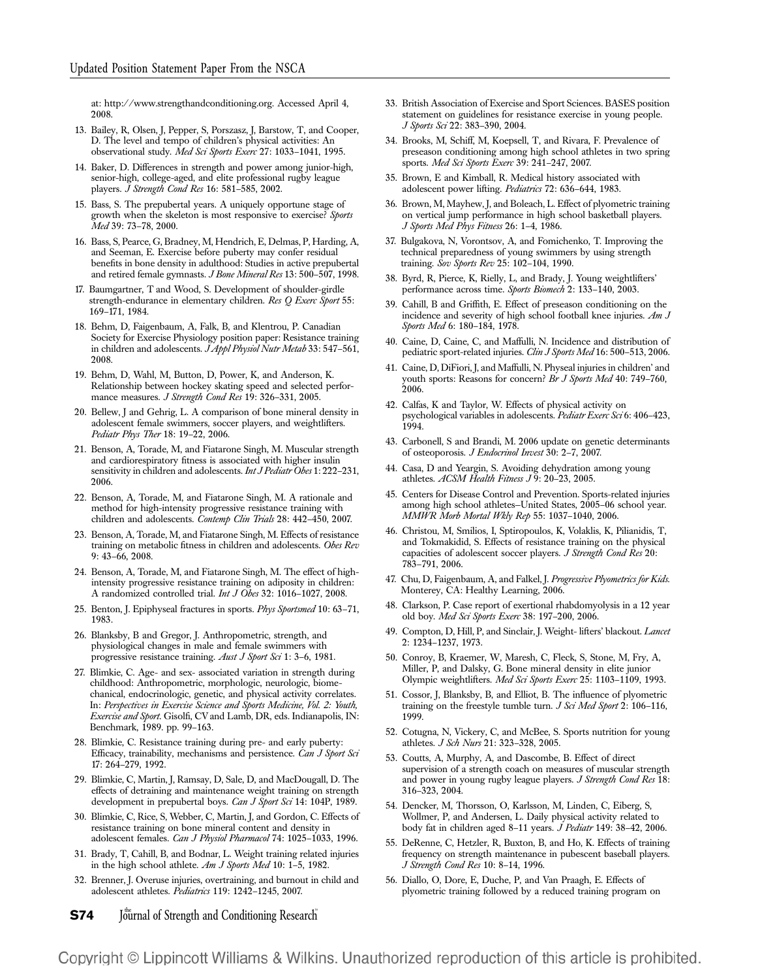at: http://www.strengthandconditioning.org. Accessed April 4, 2008.

- 13. Bailey, R, Olsen, J, Pepper, S, Porszasz, J, Barstow, T, and Cooper, D. The level and tempo of children's physical activities: An observational study. Med Sci Sports Exerc 27: 1033–1041, 1995.
- 14. Baker, D. Differences in strength and power among junior-high, senior-high, college-aged, and elite professional rugby league players. J Strength Cond Res 16: 581-585, 2002.
- 15. Bass, S. The prepubertal years. A uniquely opportune stage of growth when the skeleton is most responsive to exercise? Sports Med 39: 73–78, 2000.
- 16. Bass, S, Pearce, G, Bradney, M, Hendrich, E, Delmas, P, Harding, A, and Seeman, E. Exercise before puberty may confer residual benefits in bone density in adulthood: Studies in active prepubertal and retired female gymnasts. J Bone Mineral Res 13: 500–507, 1998.
- 17. Baumgartner, T and Wood, S. Development of shoulder-girdle strength-endurance in elementary children. Res Q Exerc Sport 55: 169–171, 1984.
- 18. Behm, D, Faigenbaum, A, Falk, B, and Klentrou, P. Canadian Society for Exercise Physiology position paper: Resistance training in children and adolescents. JAppl Physiol Nutr Metab 33: 547-561, 2008.
- 19. Behm, D, Wahl, M, Button, D, Power, K, and Anderson, K. Relationship between hockey skating speed and selected performance measures. J Strength Cond Res 19: 326-331, 2005.
- 20. Bellew, J and Gehrig, L. A comparison of bone mineral density in adolescent female swimmers, soccer players, and weightlifters. Pediatr Phys Ther 18: 19–22, 2006.
- 21. Benson, A, Torade, M, and Fiatarone Singh, M. Muscular strength and cardiorespiratory fitness is associated with higher insulin sensitivity in children and adolescents. Int J Pediatr Obes 1: 222-231, 2006.
- 22. Benson, A, Torade, M, and Fiatarone Singh, M. A rationale and method for high-intensity progressive resistance training with children and adolescents. Contemp Clin Trials 28: 442–450, 2007.
- 23. Benson, A, Torade, M, and Fiatarone Singh, M. Effects of resistance training on metabolic fitness in children and adolescents. Obes Rev 9: 43–66, 2008.
- 24. Benson, A, Torade, M, and Fiatarone Singh, M. The effect of highintensity progressive resistance training on adiposity in children: A randomized controlled trial. Int J Obes 32: 1016–1027, 2008.
- 25. Benton, J. Epiphyseal fractures in sports. Phys Sportsmed 10: 63-71, 1983.
- 26. Blanksby, B and Gregor, J. Anthropometric, strength, and physiological changes in male and female swimmers with progressive resistance training. Aust J Sport Sci 1: 3–6, 1981.
- 27. Blimkie, C. Age- and sex- associated variation in strength during childhood: Anthropometric, morphologic, neurologic, biomechanical, endocrinologic, genetic, and physical activity correlates. In: Perspectives in Exercise Science and Sports Medicine, Vol. 2: Youth, Exercise and Sport. Gisolfi, CV and Lamb, DR, eds. Indianapolis, IN: Benchmark, 1989. pp. 99–163.
- 28. Blimkie, C. Resistance training during pre- and early puberty: Efficacy, trainability, mechanisms and persistence. Can J Sport Sci 17: 264–279, 1992.
- 29. Blimkie, C, Martin, J, Ramsay, D, Sale, D, and MacDougall, D. The effects of detraining and maintenance weight training on strength development in prepubertal boys. Can J Sport Sci 14: 104P, 1989.
- 30. Blimkie, C, Rice, S, Webber, C, Martin, J, and Gordon, C. Effects of resistance training on bone mineral content and density in adolescent females. Can J Physiol Pharmacol 74: 1025-1033, 1996.
- 31. Brady, T, Cahill, B, and Bodnar, L. Weight training related injuries in the high school athlete. Am J Sports Med 10: 1-5, 1982.
- 32. Brenner, J. Overuse injuries, overtraining, and burnout in child and adolescent athletes. Pediatrics 119: 1242–1245, 2007.

**S74** Journal of Strength and Conditioning Research

- 33. British Association of Exercise and Sport Sciences. BASES position statement on guidelines for resistance exercise in young people. J Sports Sci 22: 383–390, 2004.
- 34. Brooks, M, Schiff, M, Koepsell, T, and Rivara, F. Prevalence of preseason conditioning among high school athletes in two spring sports. Med Sci Sports Exerc 39: 241-247, 2007.
- 35. Brown, E and Kimball, R. Medical history associated with adolescent power lifting. Pediatrics 72: 636–644, 1983.
- 36. Brown, M, Mayhew, J, and Boleach, L. Effect of plyometric training on vertical jump performance in high school basketball players. J Sports Med Phys Fitness 26: 1–4, 1986.
- 37. Bulgakova, N, Vorontsov, A, and Fomichenko, T. Improving the technical preparedness of young swimmers by using strength training. Sov Sports Rev 25: 102-104, 1990.
- 38. Byrd, R, Pierce, K, Rielly, L, and Brady, J. Young weightlifters' performance across time. Sports Biomech 2: 133–140, 2003.
- 39. Cahill, B and Griffith, E. Effect of preseason conditioning on the incidence and severity of high school football knee injuries. Am J Sports Med 6: 180-184, 1978.
- 40. Caine, D, Caine, C, and Maffulli, N. Incidence and distribution of pediatric sport-related injuries. Clin J Sports Med 16: 500-513, 2006.
- 41. Caine, D, DiFiori, J, and Maffulli, N. Physeal injuries in children' and youth sports: Reasons for concern? *Br J Sports Med* 40: 749–760, 2006.
- 42. Calfas, K and Taylor, W. Effects of physical activity on psychological variables in adolescents. Pediatr Exerc Sci 6: 406-423, 1994.
- 43. Carbonell, S and Brandi, M. 2006 update on genetic determinants of osteoporosis. J Endocrinol Invest 30: 2–7, 2007.
- 44. Casa, D and Yeargin, S. Avoiding dehydration among young athletes. ACSM Health Fitness J 9: 20–23, 2005.
- 45. Centers for Disease Control and Prevention. Sports-related injuries among high school athletes—United States, 2005–06 school year. MMWR Morb Mortal Wkly Rep 55: 1037–1040, 2006.
- 46. Christou, M, Smilios, I, Sptiropoulos, K, Volaklis, K, Pilianidis, T, and Tokmakidid, S. Effects of resistance training on the physical capacities of adolescent soccer players. J Strength Cond Res 20: 783–791, 2006.
- 47. Chu, D, Faigenbaum, A, and Falkel, J. Progressive Plyometrics for Kids. Monterey, CA: Healthy Learning, 2006.
- 48. Clarkson, P. Case report of exertional rhabdomyolysis in a 12 year old boy. Med Sci Sports Exerc 38: 197–200, 2006.
- 49. Compton, D, Hill, P, and Sinclair, J. Weight- lifters' blackout. Lancet 2: 1234–1237, 1973.
- 50. Conroy, B, Kraemer, W, Maresh, C, Fleck, S, Stone, M, Fry, A, Miller, P, and Dalsky, G. Bone mineral density in elite junior Olympic weightlifters. Med Sci Sports Exerc 25: 1103-1109, 1993.
- 51. Cossor, J, Blanksby, B, and Elliot, B. The influence of plyometric training on the freestyle tumble turn. J Sci Med Sport 2: 106-116, 1999.
- 52. Cotugna, N, Vickery, C, and McBee, S. Sports nutrition for young athletes. J Sch Nurs 21: 323–328, 2005.
- 53. Coutts, A, Murphy, A, and Dascombe, B. Effect of direct supervision of a strength coach on measures of muscular strength and power in young rugby league players. J Strength Cond Res 18: 316–323, 2004.
- 54. Dencker, M, Thorsson, O, Karlsson, M, Linden, C, Eiberg, S, Wollmer, P, and Andersen, L. Daily physical activity related to body fat in children aged 8-11 years. J Pediatr 149: 38-42, 2006.
- 55. DeRenne, C, Hetzler, R, Buxton, B, and Ho, K. Effects of training frequency on strength maintenance in pubescent baseball players. J Strength Cond Res 10: 8–14, 1996.
- 56. Diallo, O, Dore, E, Duche, P, and Van Praagh, E. Effects of plyometric training followed by a reduced training program on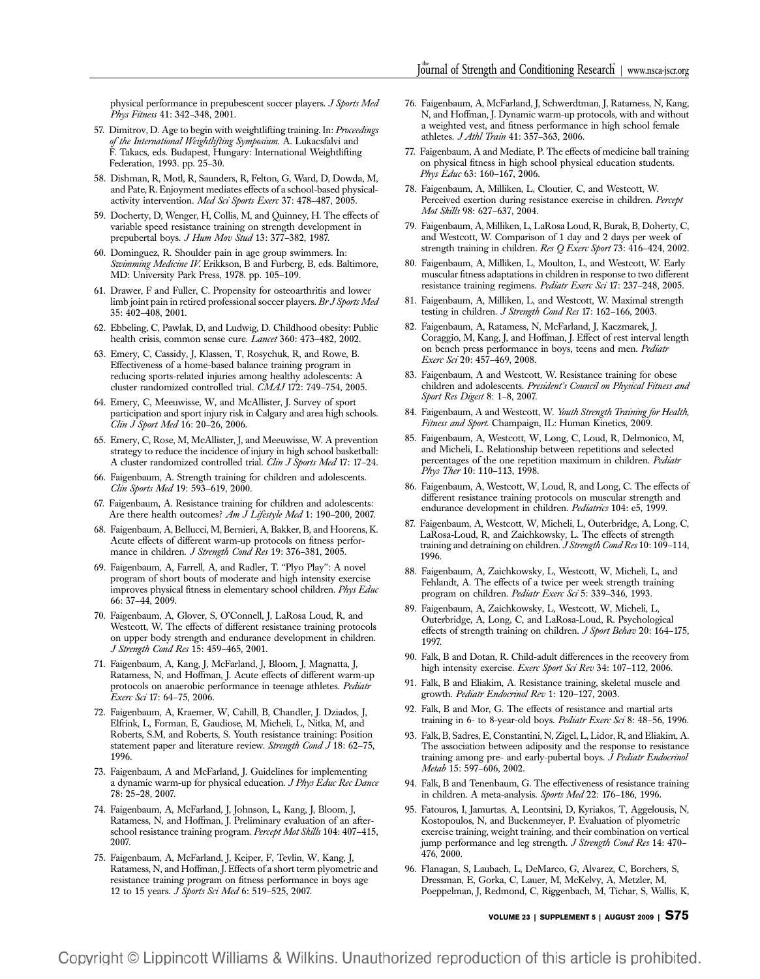physical performance in prepubescent soccer players. J Sports Med Phys Fitness 41: 342–348, 2001.

- 57. Dimitrov, D. Age to begin with weightlifting training. In: Proceedings of the International Weightlifting Symposium. A. Lukacsfalvi and F. Takacs, eds. Budapest, Hungary: International Weightlifting Federation, 1993. pp. 25–30.
- 58. Dishman, R, Motl, R, Saunders, R, Felton, G, Ward, D, Dowda, M, and Pate, R. Enjoyment mediates effects of a school-based physicalactivity intervention. Med Sci Sports Exerc 37: 478-487, 2005.
- 59. Docherty, D, Wenger, H, Collis, M, and Quinney, H. The effects of variable speed resistance training on strength development in prepubertal boys. J Hum Mov Stud 13: 377-382, 1987.
- 60. Dominguez, R. Shoulder pain in age group swimmers. In: Swimming Medicine IV. Erikkson, B and Furberg, B, eds. Baltimore, MD: University Park Press, 1978. pp. 105–109.
- 61. Drawer, F and Fuller, C. Propensity for osteoarthritis and lower limb joint pain in retired professional soccer players. Br J Sports Med 35: 402–408, 2001.
- 62. Ebbeling, C, Pawlak, D, and Ludwig, D. Childhood obesity: Public health crisis, common sense cure. Lancet 360: 473-482, 2002.
- 63. Emery, C, Cassidy, J, Klassen, T, Rosychuk, R, and Rowe, B. Effectiveness of a home-based balance training program in reducing sports-related injuries among healthy adolescents: A cluster randomized controlled trial. CMAJ 172: 749–754, 2005.
- 64. Emery, C, Meeuwisse, W, and McAllister, J. Survey of sport participation and sport injury risk in Calgary and area high schools. Clin J Sport Med 16: 20-26, 2006.
- 65. Emery, C, Rose, M, McAllister, J, and Meeuwisse, W. A prevention strategy to reduce the incidence of injury in high school basketball: A cluster randomized controlled trial. Clin J Sports Med 17: 17-24.
- 66. Faigenbaum, A. Strength training for children and adolescents. Clin Sports Med 19: 593–619, 2000.
- 67. Faigenbaum, A. Resistance training for children and adolescents: Are there health outcomes? Am J Lifestyle Med 1: 190-200, 2007.
- 68. Faigenbaum, A, Bellucci, M, Bernieri, A, Bakker, B, and Hoorens, K. Acute effects of different warm-up protocols on fitness performance in children. J Strength Cond Res 19: 376-381, 2005.
- 69. Faigenbaum, A, Farrell, A, and Radler, T. ''Plyo Play'': A novel program of short bouts of moderate and high intensity exercise improves physical fitness in elementary school children. Phys Educ 66: 37–44, 2009.
- 70. Faigenbaum, A, Glover, S, O'Connell, J, LaRosa Loud, R, and Westcott, W. The effects of different resistance training protocols on upper body strength and endurance development in children. J Strength Cond Res 15: 459–465, 2001.
- 71. Faigenbaum, A, Kang, J, McFarland, J, Bloom, J, Magnatta, J, Ratamess, N, and Hoffman, J. Acute effects of different warm-up protocols on anaerobic performance in teenage athletes. Pediatr Exerc Sci 17: 64–75, 2006.
- 72. Faigenbaum, A, Kraemer, W, Cahill, B, Chandler, J. Dziados, J, Elfrink, L, Forman, E, Gaudiose, M, Micheli, L, Nitka, M, and Roberts, S.M, and Roberts, S. Youth resistance training: Position statement paper and literature review. Strength Cond J 18: 62-75, 1996.
- 73. Faigenbaum, A and McFarland, J. Guidelines for implementing a dynamic warm-up for physical education. J Phys Educ Rec Dance 78: 25–28, 2007.
- 74. Faigenbaum, A, McFarland, J, Johnson, L, Kang, J, Bloom, J, Ratamess, N, and Hoffman, J. Preliminary evaluation of an afterschool resistance training program. Percept Mot Skills 104: 407-415, 2007.
- 75. Faigenbaum, A, McFarland, J, Keiper, F, Tevlin, W, Kang, J, Ratamess, N, and Hoffman, J. Effects of a short term plyometric and resistance training program on fitness performance in boys age 12 to 15 years. J Sports Sci Med 6: 519–525, 2007.
- 76. Faigenbaum, A, McFarland, J, Schwerdtman, J, Ratamess, N, Kang, N, and Hoffman, J. Dynamic warm-up protocols, with and without a weighted vest, and fitness performance in high school female athletes. J Athl Train 41: 357-363, 2006.
- 77. Faigenbaum, A and Mediate, P. The effects of medicine ball training on physical fitness in high school physical education students. Phys Educ 63: 160-167, 2006.
- 78. Faigenbaum, A, Milliken, L, Cloutier, C, and Westcott, W. Perceived exertion during resistance exercise in children. Percept Mot Skills 98: 627–637, 2004.
- 79. Faigenbaum, A, Milliken, L, LaRosa Loud, R, Burak, B, Doherty, C, and Westcott, W. Comparison of 1 day and 2 days per week of strength training in children. Res Q Exerc Sport 73: 416–424, 2002.
- 80. Faigenbaum, A, Milliken, L, Moulton, L, and Westcott, W. Early muscular fitness adaptations in children in response to two different resistance training regimens. Pediatr Exerc Sci 17: 237–248, 2005.
- 81. Faigenbaum, A, Milliken, L, and Westcott, W. Maximal strength testing in children. J Strength Cond Res 17: 162–166, 2003.
- 82. Faigenbaum, A, Ratamess, N, McFarland, J, Kaczmarek, J, Coraggio, M, Kang, J, and Hoffman, J. Effect of rest interval length on bench press performance in boys, teens and men. Pediatr Exerc Sci 20: 457–469, 2008.
- 83. Faigenbaum, A and Westcott, W. Resistance training for obese children and adolescents. President's Council on Physical Fitness and Sport Res Digest 8: 1–8, 2007.
- 84. Faigenbaum, A and Westcott, W. Youth Strength Training for Health, Fitness and Sport. Champaign, IL: Human Kinetics, 2009.
- 85. Faigenbaum, A, Westcott, W, Long, C, Loud, R, Delmonico, M, and Micheli, L. Relationship between repetitions and selected percentages of the one repetition maximum in children. Pediatr Phys Ther 10: 110–113, 1998.
- 86. Faigenbaum, A, Westcott, W, Loud, R, and Long, C. The effects of different resistance training protocols on muscular strength and endurance development in children. Pediatrics 104: e5, 1999.
- 87. Faigenbaum, A, Westcott, W, Micheli, L, Outerbridge, A, Long, C, LaRosa-Loud, R, and Zaichkowsky, L. The effects of strength training and detraining on children. J Strength Cond Res 10: 109-114, 1996.
- 88. Faigenbaum, A, Zaichkowsky, L, Westcott, W, Micheli, L, and Fehlandt, A. The effects of a twice per week strength training program on children. Pediatr Exerc Sci 5: 339-346, 1993.
- 89. Faigenbaum, A, Zaichkowsky, L, Westcott, W, Micheli, L, Outerbridge, A, Long, C, and LaRosa-Loud, R. Psychological effects of strength training on children. J Sport Behav 20: 164-175, 1997.
- 90. Falk, B and Dotan, R. Child-adult differences in the recovery from high intensity exercise. Exerc Sport Sci Rev 34: 107-112, 2006.
- 91. Falk, B and Eliakim, A. Resistance training, skeletal muscle and growth. Pediatr Endocrinol Rev 1: 120–127, 2003.
- 92. Falk, B and Mor, G. The effects of resistance and martial arts training in 6- to 8-year-old boys. Pediatr Exerc Sci 8: 48-56, 1996.
- 93. Falk, B, Sadres, E, Constantini, N, Zigel, L, Lidor, R, and Eliakim, A. The association between adiposity and the response to resistance training among pre- and early-pubertal boys. J Pediatr Endocrinol Metab 15: 597–606, 2002.
- 94. Falk, B and Tenenbaum, G. The effectiveness of resistance training in children. A meta-analysis. Sports Med 22: 176–186, 1996.
- 95. Fatouros, I, Jamurtas, A, Leontsini, D, Kyriakos, T, Aggelousis, N, Kostopoulos, N, and Buckenmeyer, P. Evaluation of plyometric exercise training, weight training, and their combination on vertical jump performance and leg strength. J Strength Cond Res 14: 470-476, 2000.
- 96. Flanagan, S, Laubach, L, DeMarco, G, Alvarez, C, Borchers, S, Dressman, E, Gorka, C, Lauer, M, McKelvy, A, Metzler, M, Poeppelman, J, Redmond, C, Riggenbach, M, Tichar, S, Wallis, K,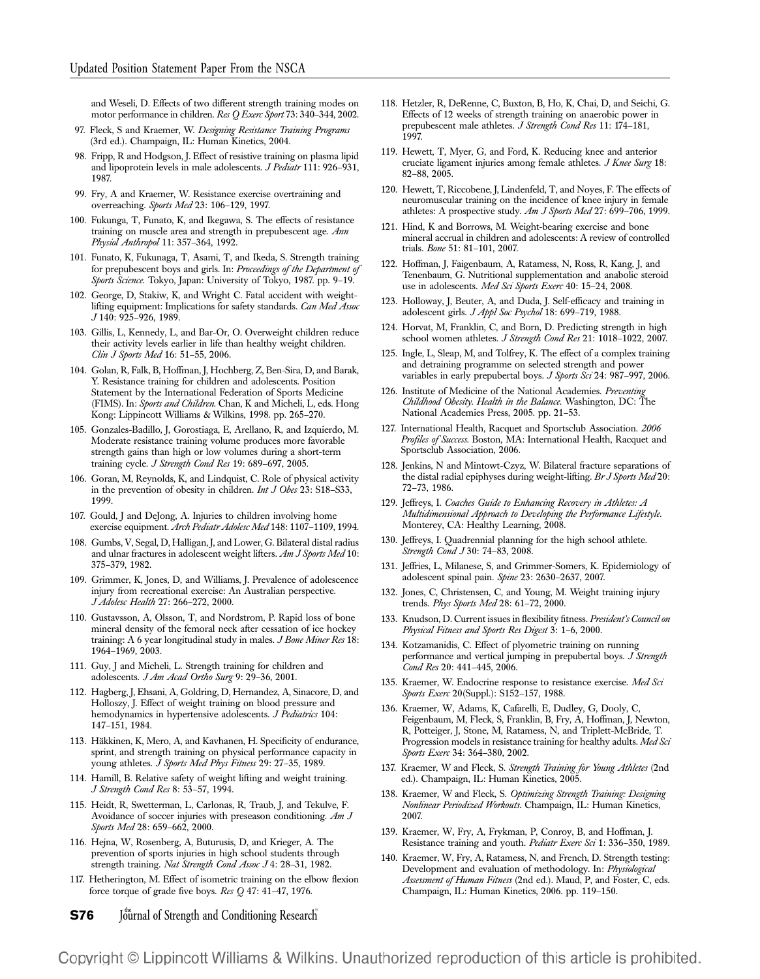and Weseli, D. Effects of two different strength training modes on motor performance in children. Res Q Exerc Sport 73: 340-344, 2002.

- 97. Fleck, S and Kraemer, W. Designing Resistance Training Programs (3rd ed.). Champaign, IL: Human Kinetics, 2004.
- 98. Fripp, R and Hodgson, J. Effect of resistive training on plasma lipid and lipoprotein levels in male adolescents. J Pediatr 111: 926-931, 1987.
- 99. Fry, A and Kraemer, W. Resistance exercise overtraining and overreaching. Sports Med 23: 106–129, 1997.
- 100. Fukunga, T, Funato, K, and Ikegawa, S. The effects of resistance training on muscle area and strength in prepubescent age. Ann Physiol Anthropol 11: 357–364, 1992.
- 101. Funato, K, Fukunaga, T, Asami, T, and Ikeda, S. Strength training for prepubescent boys and girls. In: Proceedings of the Department of Sports Science. Tokyo, Japan: University of Tokyo, 1987. pp. 9-19.
- 102. George, D, Stakiw, K, and Wright C. Fatal accident with weightlifting equipment: Implications for safety standards. Can Med Assoc J 140: 925–926, 1989.
- 103. Gillis, L, Kennedy, L, and Bar-Or, O. Overweight children reduce their activity levels earlier in life than healthy weight children. Clin J Sports Med 16: 51–55, 2006.
- 104. Golan, R, Falk, B, Hoffman, J, Hochberg, Z, Ben-Sira, D, and Barak, Y. Resistance training for children and adolescents. Position Statement by the International Federation of Sports Medicine (FIMS). In: Sports and Children. Chan, K and Micheli, L, eds. Hong Kong: Lippincott Williams & Wilkins, 1998. pp. 265–270.
- 105. Gonzales-Badillo, J, Gorostiaga, E, Arellano, R, and Izquierdo, M. Moderate resistance training volume produces more favorable strength gains than high or low volumes during a short-term training cycle. J Strength Cond Res 19: 689-697, 2005.
- 106. Goran, M, Reynolds, K, and Lindquist, C. Role of physical activity in the prevention of obesity in children. Int J Obes 23: S18–S33, 1999.
- 107. Gould, J and DeJong, A. Injuries to children involving home exercise equipment. Arch Pediatr Adolesc Med 148: 1107-1109, 1994.
- 108. Gumbs, V, Segal, D, Halligan, J, and Lower, G. Bilateral distal radius and ulnar fractures in adolescent weight lifters. Am J Sports Med 10: 375–379, 1982.
- 109. Grimmer, K, Jones, D, and Williams, J. Prevalence of adolescence injury from recreational exercise: An Australian perspective. J Adolesc Health 27: 266–272, 2000.
- 110. Gustavsson, A, Olsson, T, and Nordstrom, P. Rapid loss of bone mineral density of the femoral neck after cessation of ice hockey training: A 6 year longitudinal study in males. J Bone Miner Res 18: 1964–1969, 2003.
- 111. Guy, J and Micheli, L. Strength training for children and adolescents. J Am Acad Ortho Surg 9: 29-36, 2001.
- 112. Hagberg, J, Ehsani, A, Goldring, D, Hernandez, A, Sinacore, D, and Holloszy, J. Effect of weight training on blood pressure and hemodynamics in hypertensive adolescents. J Pediatrics 104: 147–151, 1984.
- 113. Häkkinen, K, Mero, A, and Kavhanen, H. Specificity of endurance, sprint, and strength training on physical performance capacity in young athletes. J Sports Med Phys Fitness 29: 27-35, 1989.
- 114. Hamill, B. Relative safety of weight lifting and weight training. J Strength Cond Res 8: 53–57, 1994.
- 115. Heidt, R, Swetterman, L, Carlonas, R, Traub, J, and Tekulve, F. Avoidance of soccer injuries with preseason conditioning. Am J Sports Med 28: 659–662, 2000.
- 116. Hejna, W, Rosenberg, A, Buturusis, D, and Krieger, A. The prevention of sports injuries in high school students through strength training. Nat Strength Cond Assoc J 4: 28-31, 1982.
- 117. Hetherington, M. Effect of isometric training on the elbow flexion force torque of grade five boys. Res  $Q$  47: 41-47, 1976.

**S76** Journal of Strength and Conditioning Research

- 118. Hetzler, R, DeRenne, C, Buxton, B, Ho, K, Chai, D, and Seichi, G. Effects of 12 weeks of strength training on anaerobic power in prepubescent male athletes. J Strength Cond Res 11: 174–181, 1997.
- 119. Hewett, T, Myer, G, and Ford, K. Reducing knee and anterior cruciate ligament injuries among female athletes. J Knee Surg 18: 82–88, 2005.
- 120. Hewett, T, Riccobene, J, Lindenfeld, T, and Noyes, F. The effects of neuromuscular training on the incidence of knee injury in female athletes: A prospective study. Am J Sports Med 27: 699–706, 1999.
- 121. Hind, K and Borrows, M. Weight-bearing exercise and bone mineral accrual in children and adolescents: A review of controlled trials. Bone 51: 81–101, 2007.
- 122. Hoffman, J, Faigenbaum, A, Ratamess, N, Ross, R, Kang, J, and Tenenbaum, G. Nutritional supplementation and anabolic steroid use in adolescents. Med Sci Sports Exerc 40: 15-24, 2008.
- 123. Holloway, J, Beuter, A, and Duda, J. Self-efficacy and training in adolescent girls. J Appl Soc Psychol 18: 699-719, 1988.
- 124. Horvat, M, Franklin, C, and Born, D. Predicting strength in high school women athletes. J Strength Cond Res 21: 1018-1022, 2007.
- 125. Ingle, L, Sleap, M, and Tolfrey, K. The effect of a complex training and detraining programme on selected strength and power variables in early prepubertal boys. J Sports Sci 24: 987-997, 2006.
- 126. Institute of Medicine of the National Academies. Preventing Childhood Obesity. Health in the Balance. Washington, DC: The National Academies Press, 2005. pp. 21–53.
- 127. International Health, Racquet and Sportsclub Association. 2006 Profiles of Success. Boston, MA: International Health, Racquet and Sportsclub Association, 2006.
- 128. Jenkins, N and Mintowt-Czyz, W. Bilateral fracture separations of the distal radial epiphyses during weight-lifting. Br J Sports Med 20: 72–73, 1986.
- 129. Jeffreys, I. Coaches Guide to Enhancing Recovery in Athletes: A Multidimensional Approach to Developing the Performance Lifestyle. Monterey, CA: Healthy Learning, 2008.
- 130. Jeffreys, I. Quadrennial planning for the high school athlete. Strength Cond J 30: 74–83, 2008.
- 131. Jeffries, L, Milanese, S, and Grimmer-Somers, K. Epidemiology of adolescent spinal pain. Spine 23: 2630–2637, 2007.
- 132. Jones, C, Christensen, C, and Young, M. Weight training injury trends. Phys Sports Med 28: 61-72, 2000.
- 133. Knudson, D. Current issues in flexibility fitness. President's Council on Physical Fitness and Sports Res Digest 3: 1–6, 2000.
- 134. Kotzamanidis, C. Effect of plyometric training on running performance and vertical jumping in prepubertal boys. J Strength Cond Res 20: 441–445, 2006.
- 135. Kraemer, W. Endocrine response to resistance exercise. Med Sci Sports Exerc 20(Suppl.): S152–157, 1988.
- 136. Kraemer, W, Adams, K, Cafarelli, E, Dudley, G, Dooly, C, Feigenbaum, M, Fleck, S, Franklin, B, Fry, A, Hoffman, J, Newton, R, Potteiger, J, Stone, M, Ratamess, N, and Triplett-McBride, T. Progression models in resistance training for healthy adults. *Med Sci* Sports Exerc 34: 364–380, 2002.
- 137. Kraemer, W and Fleck, S. Strength Training for Young Athletes (2nd ed.). Champaign, IL: Human Kinetics, 2005.
- 138. Kraemer, W and Fleck, S. Optimizing Strength Training: Designing Nonlinear Periodized Workouts. Champaign, IL: Human Kinetics, 2007.
- 139. Kraemer, W, Fry, A, Frykman, P, Conroy, B, and Hoffman, J. Resistance training and youth. Pediatr Exerc Sci 1: 336-350, 1989.
- 140. Kraemer, W, Fry, A, Ratamess, N, and French, D. Strength testing: Development and evaluation of methodology. In: Physiological Assessment of Human Fitness (2nd ed.). Maud, P, and Foster, C, eds. Champaign, IL: Human Kinetics, 2006. pp. 119–150.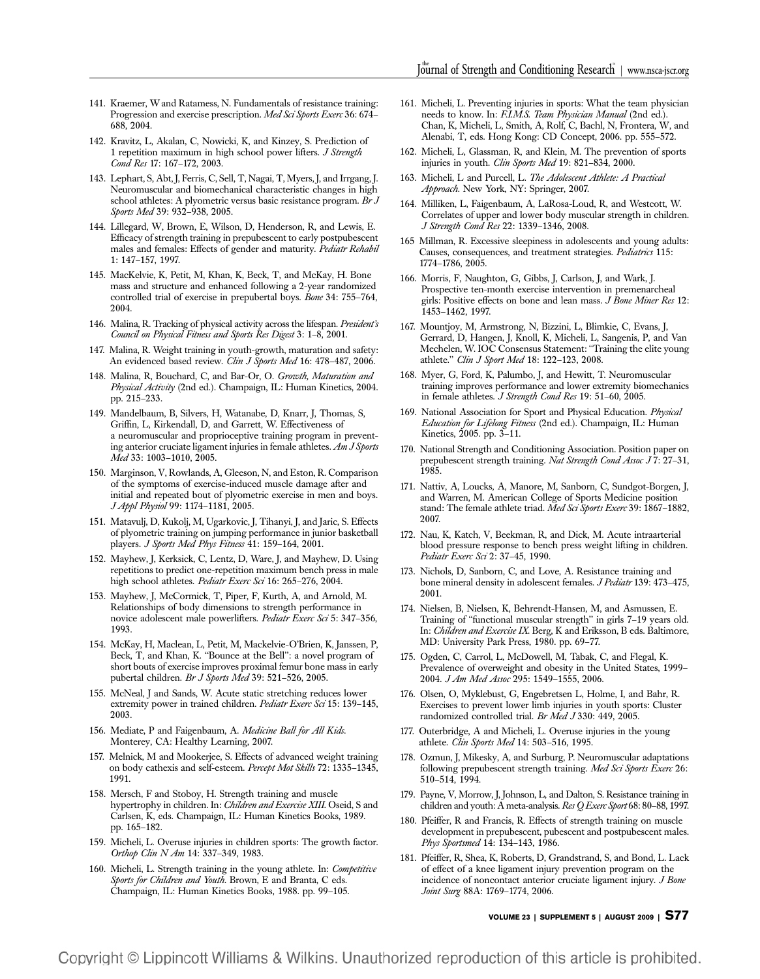- 141. Kraemer, W and Ratamess, N. Fundamentals of resistance training: Progression and exercise prescription. Med Sci Sports Exerc 36: 674– 688, 2004.
- 142. Kravitz, L, Akalan, C, Nowicki, K, and Kinzey, S. Prediction of 1 repetition maximum in high school power lifters. J Strength Cond Res 17: 167–172, 2003.
- 143. Lephart, S, Abt, J, Ferris, C, Sell, T, Nagai, T, Myers, J, and Irrgang, J. Neuromuscular and biomechanical characteristic changes in high school athletes: A plyometric versus basic resistance program. Br J Sports Med 39: 932-938, 2005.
- 144. Lillegard, W, Brown, E, Wilson, D, Henderson, R, and Lewis, E. Efficacy of strength training in prepubescent to early postpubescent males and females: Effects of gender and maturity. Pediatr Rehabil 1: 147–157, 1997.
- 145. MacKelvie, K, Petit, M, Khan, K, Beck, T, and McKay, H. Bone mass and structure and enhanced following a 2-year randomized controlled trial of exercise in prepubertal boys. Bone 34: 755-764, 2004.
- 146. Malina, R. Tracking of physical activity across the lifespan. President's Council on Physical Fitness and Sports Res Digest 3: 1–8, 2001.
- 147. Malina, R. Weight training in youth-growth, maturation and safety: An evidenced based review. Clin J Sports Med 16: 478-487, 2006.
- 148. Malina, R, Bouchard, C, and Bar-Or, O. Growth, Maturation and Physical Activity (2nd ed.). Champaign, IL: Human Kinetics, 2004. pp. 215–233.
- 149. Mandelbaum, B, Silvers, H, Watanabe, D, Knarr, J, Thomas, S, Griffin, L, Kirkendall, D, and Garrett, W. Effectiveness of a neuromuscular and proprioceptive training program in preventing anterior cruciate ligament injuries in female athletes. Am J Sports Med 33: 1003–1010, 2005.
- 150. Marginson, V, Rowlands, A, Gleeson, N, and Eston, R. Comparison of the symptoms of exercise-induced muscle damage after and initial and repeated bout of plyometric exercise in men and boys. J Appl Physiol 99: 1174–1181, 2005.
- 151. Matavulj, D, Kukolj, M, Ugarkovic, J, Tihanyi, J, and Jaric, S. Effects of plyometric training on jumping performance in junior basketball players. J Sports Med Phys Fitness 41: 159–164, 2001.
- 152. Mayhew, J, Kerksick, C, Lentz, D, Ware, J, and Mayhew, D. Using repetitions to predict one-repetition maximum bench press in male high school athletes. Pediatr Exerc Sci 16: 265-276, 2004.
- 153. Mayhew, J, McCormick, T, Piper, F, Kurth, A, and Arnold, M. Relationships of body dimensions to strength performance in novice adolescent male powerlifters. Pediatr Exerc Sci 5: 347–356, 1993.
- 154. McKay, H, Maclean, L, Petit, M, Mackelvie-O'Brien, K, Janssen, P, Beck, T, and Khan, K. ''Bounce at the Bell'': a novel program of short bouts of exercise improves proximal femur bone mass in early pubertal children. Br J Sports Med 39: 521-526, 2005.
- 155. McNeal, J and Sands, W. Acute static stretching reduces lower extremity power in trained children. Pediatr Exerc Sci 15: 139-145, 2003.
- 156. Mediate, P and Faigenbaum, A. Medicine Ball for All Kids. Monterey, CA: Healthy Learning, 2007.
- 157. Melnick, M and Mookerjee, S. Effects of advanced weight training on body cathexis and self-esteem. Percept Mot Skills 72: 1335–1345, 1991.
- 158. Mersch, F and Stoboy, H. Strength training and muscle hypertrophy in children. In: Children and Exercise XIII. Oseid, S and Carlsen, K, eds. Champaign, IL: Human Kinetics Books, 1989. pp. 165–182.
- 159. Micheli, L. Overuse injuries in children sports: The growth factor. Orthop Clin N Am 14: 337–349, 1983.
- 160. Micheli, L. Strength training in the young athlete. In: Competitive Sports for Children and Youth. Brown, E and Branta, C eds. Champaign, IL: Human Kinetics Books, 1988. pp. 99–105.
- 161. Micheli, L. Preventing injuries in sports: What the team physician needs to know. In: F.I.M.S. Team Physician Manual (2nd ed.). Chan, K, Micheli, L, Smith, A, Rolf, C, Bachl, N, Frontera, W, and Alenabi, T, eds. Hong Kong: CD Concept, 2006. pp. 555–572.
- 162. Micheli, L, Glassman, R, and Klein, M. The prevention of sports injuries in youth. Clin Sports Med 19: 821-834, 2000.
- 163. Micheli, L and Purcell, L. The Adolescent Athlete: A Practical Approach. New York, NY: Springer, 2007.
- 164. Milliken, L, Faigenbaum, A, LaRosa-Loud, R, and Westcott, W. Correlates of upper and lower body muscular strength in children. J Strength Cond Res 22: 1339–1346, 2008.
- 165 Millman, R. Excessive sleepiness in adolescents and young adults: Causes, consequences, and treatment strategies. Pediatrics 115: 1774–1786, 2005.
- 166. Morris, F, Naughton, G, Gibbs, J, Carlson, J, and Wark, J. Prospective ten-month exercise intervention in premenarcheal girls: Positive effects on bone and lean mass. *J Bone Miner Res* 12: 1453–1462, 1997.
- 167. Mountjoy, M, Armstrong, N, Bizzini, L, Blimkie, C, Evans, J, Gerrard, D, Hangen, J, Knoll, K, Micheli, L, Sangenis, P, and Van Mechelen, W. IOC Consensus Statement: ''Training the elite young athlete." Clin J Sport Med 18: 122-123, 2008.
- 168. Myer, G, Ford, K, Palumbo, J, and Hewitt, T. Neuromuscular training improves performance and lower extremity biomechanics in female athletes. J Strength Cond Res 19: 51–60, 2005.
- 169. National Association for Sport and Physical Education. Physical Education for Lifelong Fitness (2nd ed.). Champaign, IL: Human Kinetics, 2005. pp. 3–11.
- 170. National Strength and Conditioning Association. Position paper on prepubescent strength training. Nat Strength Cond Assoc J 7: 27-31, 1985.
- 171. Nattiv, A, Loucks, A, Manore, M, Sanborn, C, Sundgot-Borgen, J, and Warren, M. American College of Sports Medicine position stand: The female athlete triad. Med Sci Sports Exerc 39: 1867-1882, 2007.
- 172. Nau, K, Katch, V, Beekman, R, and Dick, M. Acute intraarterial blood pressure response to bench press weight lifting in children. Pediatr Exerc Sci 2: 37–45, 1990.
- 173. Nichols, D, Sanborn, C, and Love, A. Resistance training and bone mineral density in adolescent females. J Pediatr 139: 473–475, 2001.
- 174. Nielsen, B, Nielsen, K, Behrendt-Hansen, M, and Asmussen, E. Training of ''functional muscular strength'' in girls 7–19 years old. In: Children and Exercise IX. Berg, K and Eriksson, B eds. Baltimore, MD: University Park Press, 1980. pp. 69–77.
- 175. Ogden, C, Carrol, L, McDowell, M, Tabak, C, and Flegal, K. Prevalence of overweight and obesity in the United States, 1999– 2004. J Am Med Assoc 295: 1549–1555, 2006.
- 176. Olsen, O, Myklebust, G, Engebretsen L, Holme, I, and Bahr, R. Exercises to prevent lower limb injuries in youth sports: Cluster randomized controlled trial. Br Med J 330: 449, 2005.
- 177. Outerbridge, A and Micheli, L. Overuse injuries in the young athlete. Clin Sports Med 14: 503–516, 1995.
- 178. Ozmun, J, Mikesky, A, and Surburg, P. Neuromuscular adaptations following prepubescent strength training. Med Sci Sports Exerc 26: 510–514, 1994.
- 179. Payne, V, Morrow, J, Johnson, L, and Dalton, S. Resistance training in children and youth: A meta-analysis. Res Q Exerc Sport 68: 80–88, 1997.
- 180. Pfeiffer, R and Francis, R. Effects of strength training on muscle development in prepubescent, pubescent and postpubescent males. Phys Sportsmed 14: 134–143, 1986.
- 181. Pfeiffer, R, Shea, K, Roberts, D, Grandstrand, S, and Bond, L. Lack of effect of a knee ligament injury prevention program on the incidence of noncontact anterior cruciate ligament injury. J Bone Joint Surg 88A: 1769–1774, 2006.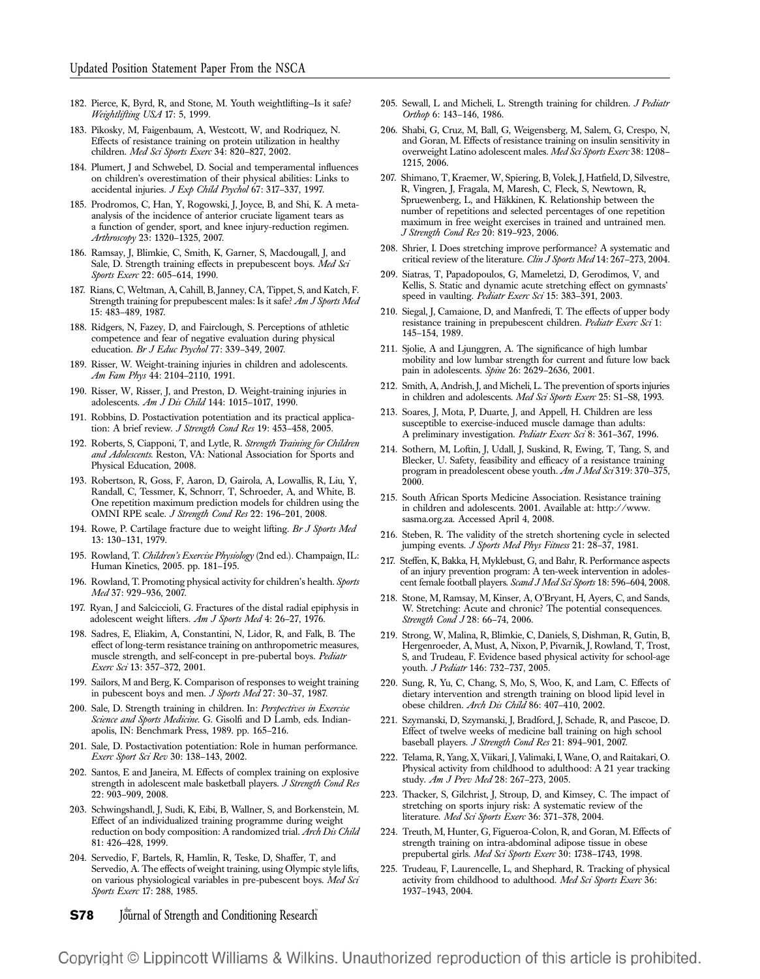- 182. Pierce, K, Byrd, R, and Stone, M. Youth weightlifting—Is it safe? Weightlifting USA 17: 5, 1999.
- 183. Pikosky, M, Faigenbaum, A, Westcott, W, and Rodriquez, N. Effects of resistance training on protein utilization in healthy children. Med Sci Sports Exerc 34: 820–827, 2002.
- 184. Plumert, J and Schwebel, D. Social and temperamental influences on children's overestimation of their physical abilities: Links to accidental injuries. J Exp Child Psychol 67: 317-337, 1997.
- 185. Prodromos, C, Han, Y, Rogowski, J, Joyce, B, and Shi, K. A metaanalysis of the incidence of anterior cruciate ligament tears as a function of gender, sport, and knee injury-reduction regimen. Arthroscopy 23: 1320–1325, 2007.
- 186. Ramsay, J, Blimkie, C, Smith, K, Garner, S, Macdougall, J, and Sale, D. Strength training effects in prepubescent boys. Med Sci Sports Exerc 22: 605–614, 1990.
- 187. Rians, C, Weltman, A, Cahill, B, Janney, CA, Tippet, S, and Katch, F. Strength training for prepubescent males: Is it safe? Am J Sports Med 15: 483–489, 1987.
- 188. Ridgers, N, Fazey, D, and Fairclough, S. Perceptions of athletic competence and fear of negative evaluation during physical education. Br J Educ Psychol 77: 339–349, 2007.
- 189. Risser, W. Weight-training injuries in children and adolescents. Am Fam Phys 44: 2104–2110, 1991.
- 190. Risser, W, Risser, J, and Preston, D. Weight-training injuries in adolescents. Am J Dis Child 144: 1015-1017, 1990.
- 191. Robbins, D. Postactivation potentiation and its practical application: A brief review. J Strength Cond Res 19: 453-458, 2005.
- 192. Roberts, S, Ciapponi, T, and Lytle, R. Strength Training for Children and Adolescents. Reston, VA: National Association for Sports and Physical Education, 2008.
- 193. Robertson, R, Goss, F, Aaron, D, Gairola, A, Lowallis, R, Liu, Y, Randall, C, Tessmer, K, Schnorr, T, Schroeder, A, and White, B. One repetition maximum prediction models for children using the OMNI RPE scale. J Strength Cond Res 22: 196–201, 2008.
- 194. Rowe, P. Cartilage fracture due to weight lifting. Br J Sports Med 13: 130–131, 1979.
- 195. Rowland, T. Children's Exercise Physiology (2nd ed.). Champaign, IL: Human Kinetics, 2005. pp. 181–195.
- 196. Rowland, T. Promoting physical activity for children's health. Sports Med 37: 929–936, 2007.
- 197. Ryan, J and Salciccioli, G. Fractures of the distal radial epiphysis in adolescent weight lifters. Am J Sports Med 4: 26-27, 1976.
- 198. Sadres, E, Eliakim, A, Constantini, N, Lidor, R, and Falk, B. The effect of long-term resistance training on anthropometric measures, muscle strength, and self-concept in pre-pubertal boys. Pediatr Exerc Sci 13: 357–372, 2001.
- 199. Sailors, M and Berg, K. Comparison of responses to weight training in pubescent boys and men. J Sports Med 27: 30-37, 1987.
- 200. Sale, D. Strength training in children. In: Perspectives in Exercise Science and Sports Medicine. G. Gisolfi and D Lamb, eds. Indianapolis, IN: Benchmark Press, 1989. pp. 165–216.
- 201. Sale, D. Postactivation potentiation: Role in human performance. Exerc Sport Sci Rev 30: 138–143, 2002.
- 202. Santos, E and Janeira, M. Effects of complex training on explosive strength in adolescent male basketball players. J Strength Cond Res 22: 903–909, 2008.
- 203. Schwingshandl, J, Sudi, K, Eibi, B, Wallner, S, and Borkenstein, M. Effect of an individualized training programme during weight reduction on body composition: A randomized trial. Arch Dis Child 81: 426–428, 1999.
- 204. Servedio, F, Bartels, R, Hamlin, R, Teske, D, Shaffer, T, and Servedio, A. The effects of weight training, using Olympic style lifts, on various physiological variables in pre-pubescent boys. Med Sci Sports Exerc 17: 288, 1985.

**S78** Journal of Strength and Conditioning Research

- 205. Sewall, L and Micheli, L. Strength training for children. J Pediatr Orthop 6: 143–146, 1986.
- 206. Shabi, G, Cruz, M, Ball, G, Weigensberg, M, Salem, G, Crespo, N, and Goran, M. Effects of resistance training on insulin sensitivity in overweight Latino adolescent males. Med Sci Sports Exerc 38: 1208– 1215, 2006.
- 207. Shimano, T, Kraemer, W, Spiering, B, Volek, J, Hatfield, D, Silvestre, R, Vingren, J, Fragala, M, Maresh, C, Fleck, S, Newtown, R, Spruewenberg, L, and Häkkinen, K. Relationship between the number of repetitions and selected percentages of one repetition maximum in free weight exercises in trained and untrained men. J Strength Cond Res 20: 819–923, 2006.
- 208. Shrier, I. Does stretching improve performance? A systematic and critical review of the literature. Clin J Sports Med 14: 267-273, 2004.
- 209. Siatras, T, Papadopoulos, G, Mameletzi, D, Gerodimos, V, and Kellis, S. Static and dynamic acute stretching effect on gymnasts' speed in vaulting. Pediatr Exerc Sci 15: 383-391, 2003.
- 210. Siegal, J, Camaione, D, and Manfredi, T. The effects of upper body resistance training in prepubescent children. Pediatr Exerc Sci 1: 145–154, 1989.
- 211. Sjolie, A and Ljunggren, A. The significance of high lumbar mobility and low lumbar strength for current and future low back pain in adolescents. Spine 26: 2629-2636, 2001.
- 212. Smith, A, Andrish, J, and Micheli, L. The prevention of sports injuries in children and adolescents. Med Sci Sports Exerc 25: S1-S8, 1993.
- 213. Soares, J, Mota, P, Duarte, J, and Appell, H. Children are less susceptible to exercise-induced muscle damage than adults: A preliminary investigation. Pediatr Exerc Sci 8: 361-367, 1996.
- 214. Sothern, M, Loftin, J, Udall, J, Suskind, R, Ewing, T, Tang, S, and Blecker, U. Safety, feasibility and efficacy of a resistance training program in preadolescent obese youth. Am J Med Sci 319: 370–375, 2000.
- 215. South African Sports Medicine Association. Resistance training in children and adolescents. 2001. Available at: http://www. sasma.org.za. Accessed April 4, 2008.
- 216. Steben, R. The validity of the stretch shortening cycle in selected jumping events. J Sports Med Phys Fitness 21: 28-37, 1981.
- 217. Steffen, K, Bakka, H, Myklebust, G, and Bahr, R. Performance aspects of an injury prevention program: A ten-week intervention in adolescent female football players. Scand J Med Sci Sports 18: 596-604, 2008.
- 218. Stone, M, Ramsay, M, Kinser, A, O'Bryant, H, Ayers, C, and Sands, W. Stretching: Acute and chronic? The potential consequences. Strength Cond J 28: 66–74, 2006.
- 219. Strong, W, Malina, R, Blimkie, C, Daniels, S, Dishman, R, Gutin, B, Hergenroeder, A, Must, A, Nixon, P, Pivarnik, J, Rowland, T, Trost, S, and Trudeau, F. Evidence based physical activity for school-age youth. J Pediatr 146: 732-737, 2005.
- 220. Sung, R, Yu, C, Chang, S, Mo, S, Woo, K, and Lam, C. Effects of dietary intervention and strength training on blood lipid level in obese children. Arch Dis Child 86: 407–410, 2002.
- 221. Szymanski, D, Szymanski, J, Bradford, J, Schade, R, and Pascoe, D. Effect of twelve weeks of medicine ball training on high school baseball players. J Strength Cond Res 21: 894–901, 2007.
- 222. Telama, R, Yang, X, Viikari, J, Valimaki, I, Wane, O, and Raitakari, O. Physical activity from childhood to adulthood: A 21 year tracking study. Am J Prev Med 28: 267–273, 2005.
- 223. Thacker, S, Gilchrist, J, Stroup, D, and Kimsey, C. The impact of stretching on sports injury risk: A systematic review of the literature. Med Sci Sports Exerc 36: 371-378, 2004.
- 224. Treuth, M, Hunter, G, Figueroa-Colon, R, and Goran, M. Effects of strength training on intra-abdominal adipose tissue in obese prepubertal girls. Med Sci Sports Exerc 30: 1738-1743, 1998.
- 225. Trudeau, F, Laurencelle, L, and Shephard, R. Tracking of physical activity from childhood to adulthood. Med Sci Sports Exerc 36: 1937–1943, 2004.